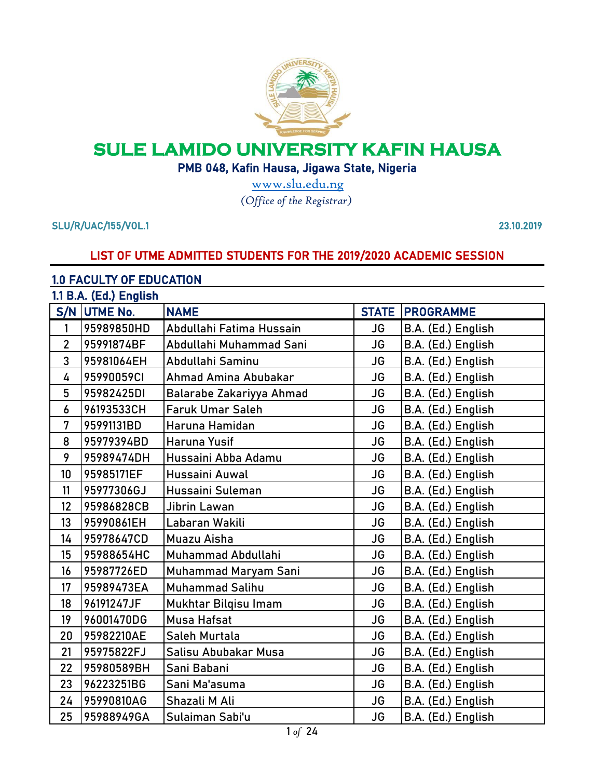

# **SULE LAMIDO UNIVERSITY KAFIN HAUSA**

PMB 048, Kafin Hausa, Jigawa State, Nigeria

*[\(](http://www.slu.edu.ng/)Office of the Registrar)* [w](http://www.slu.edu.ng/)ww.slu.edu.ng

SLU/R/UAC/155/VOL.1 23.10.2019

### LIST OF UTME ADMITTED STUDENTS FOR THE 2019/2020 ACADEMIC SESSION

#### 1.0 FACULTY OF EDUCATION

|                | 1.1 B.A. (Ed.) English |                          |              |                    |  |
|----------------|------------------------|--------------------------|--------------|--------------------|--|
|                | S/N UTME No.           | <b>NAME</b>              | <b>STATE</b> | <b>PROGRAMME</b>   |  |
| 1              | 95989850HD             | Abdullahi Fatima Hussain | JG           | B.A. (Ed.) English |  |
| $\overline{2}$ | 95991874BF             | Abdullahi Muhammad Sani  | <b>JG</b>    | B.A. (Ed.) English |  |
| 3              | 95981064EH             | Abdullahi Saminu         | <b>JG</b>    | B.A. (Ed.) English |  |
| 4              | 95990059CI             | Ahmad Amina Abubakar     | <b>JG</b>    | B.A. (Ed.) English |  |
| 5              | 95982425DI             | Balarabe Zakariyya Ahmad | <b>JG</b>    | B.A. (Ed.) English |  |
| 6              | 96193533CH             | <b>Faruk Umar Saleh</b>  | <b>JG</b>    | B.A. (Ed.) English |  |
| 7              | 95991131BD             | Haruna Hamidan           | <b>JG</b>    | B.A. (Ed.) English |  |
| 8              | 95979394BD             | <b>Haruna Yusif</b>      | <b>JG</b>    | B.A. (Ed.) English |  |
| 9              | 95989474DH             | Hussaini Abba Adamu      | <b>JG</b>    | B.A. (Ed.) English |  |
| 10             | 95985171EF             | Hussaini Auwal           | <b>JG</b>    | B.A. (Ed.) English |  |
| 11             | 95977306GJ             | Hussaini Suleman         | <b>JG</b>    | B.A. (Ed.) English |  |
| 12             | 95986828CB             | Jibrin Lawan             | <b>JG</b>    | B.A. (Ed.) English |  |
| 13             | 95990861EH             | Labaran Wakili           | <b>JG</b>    | B.A. (Ed.) English |  |
| 14             | 95978647CD             | Muazu Aisha              | <b>JG</b>    | B.A. (Ed.) English |  |
| 15             | 95988654HC             | Muhammad Abdullahi       | <b>JG</b>    | B.A. (Ed.) English |  |
| 16             | 95987726ED             | Muhammad Maryam Sani     | JG           | B.A. (Ed.) English |  |
| 17             | 95989473EA             | <b>Muhammad Salihu</b>   | <b>JG</b>    | B.A. (Ed.) English |  |
| 18             | 96191247JF             | Mukhtar Bilqisu Imam     | <b>JG</b>    | B.A. (Ed.) English |  |
| 19             | 96001470DG             | <b>Musa Hafsat</b>       | <b>JG</b>    | B.A. (Ed.) English |  |
| 20             | 95982210AE             | Saleh Murtala            | <b>JG</b>    | B.A. (Ed.) English |  |
| 21             | 95975822FJ             | Salisu Abubakar Musa     | <b>JG</b>    | B.A. (Ed.) English |  |
| 22             | 95980589BH             | Sani Babani              | <b>JG</b>    | B.A. (Ed.) English |  |
| 23             | 96223251BG             | Sani Ma'asuma            | <b>JG</b>    | B.A. (Ed.) English |  |
| 24             | 95990810AG             | Shazali M Ali            | <b>JG</b>    | B.A. (Ed.) English |  |
| 25             | 95988949GA             | Sulaiman Sabi'u          | <b>JG</b>    | B.A. (Ed.) English |  |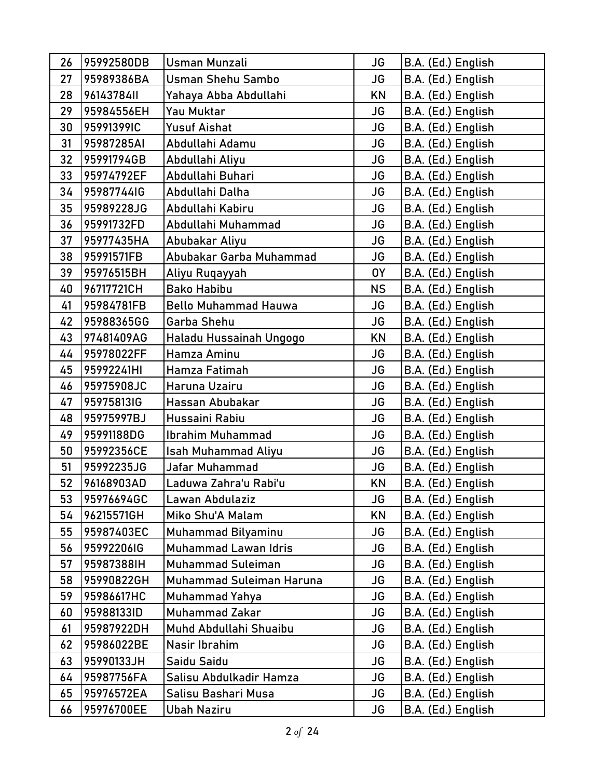| 26 | 95992580DB | <b>Usman Munzali</b>        | <b>JG</b> | B.A. (Ed.) English |
|----|------------|-----------------------------|-----------|--------------------|
| 27 | 95989386BA | <b>Usman Shehu Sambo</b>    | <b>JG</b> | B.A. (Ed.) English |
| 28 | 96143784II | Yahaya Abba Abdullahi       | KN        | B.A. (Ed.) English |
| 29 | 95984556EH | Yau Muktar                  | <b>JG</b> | B.A. (Ed.) English |
| 30 | 95991399IC | Yusuf Aishat                | <b>JG</b> | B.A. (Ed.) English |
| 31 | 95987285AI | Abdullahi Adamu             | <b>JG</b> | B.A. (Ed.) English |
| 32 | 95991794GB | Abdullahi Aliyu             | <b>JG</b> | B.A. (Ed.) English |
| 33 | 95974792EF | Abdullahi Buhari            | <b>JG</b> | B.A. (Ed.) English |
| 34 | 95987744IG | Abdullahi Dalha             | <b>JG</b> | B.A. (Ed.) English |
| 35 | 95989228JG | Abdullahi Kabiru            | <b>JG</b> | B.A. (Ed.) English |
| 36 | 95991732FD | Abdullahi Muhammad          | <b>JG</b> | B.A. (Ed.) English |
| 37 | 95977435HA | Abubakar Aliyu              | <b>JG</b> | B.A. (Ed.) English |
| 38 | 95991571FB | Abubakar Garba Muhammad     | <b>JG</b> | B.A. (Ed.) English |
| 39 | 95976515BH | Aliyu Ruqayyah              | 0Y        | B.A. (Ed.) English |
| 40 | 96717721CH | <b>Bako Habibu</b>          | <b>NS</b> | B.A. (Ed.) English |
| 41 | 95984781FB | <b>Bello Muhammad Hauwa</b> | <b>JG</b> | B.A. (Ed.) English |
| 42 | 95988365GG | Garba Shehu                 | <b>JG</b> | B.A. (Ed.) English |
| 43 | 97481409AG | Haladu Hussainah Ungogo     | <b>KN</b> | B.A. (Ed.) English |
| 44 | 95978022FF | Hamza Aminu                 | JG        | B.A. (Ed.) English |
| 45 | 95992241HI | Hamza Fatimah               | <b>JG</b> | B.A. (Ed.) English |
| 46 | 95975908JC | Haruna Uzairu               | <b>JG</b> | B.A. (Ed.) English |
| 47 | 95975813IG | Hassan Abubakar             | JG        | B.A. (Ed.) English |
| 48 | 95975997BJ | Hussaini Rabiu              | <b>JG</b> | B.A. (Ed.) English |
| 49 | 95991188DG | <b>Ibrahim Muhammad</b>     | <b>JG</b> | B.A. (Ed.) English |
| 50 | 95992356CE | <b>Isah Muhammad Aliyu</b>  | <b>JG</b> | B.A. (Ed.) English |
| 51 | 95992235JG | Jafar Muhammad              | <b>JG</b> | B.A. (Ed.) English |
| 52 | 96168903AD | Laduwa Zahra'u Rabi'u       | <b>KN</b> | B.A. (Ed.) English |
| 53 | 95976694GC | Lawan Abdulaziz             | JG        | B.A. (Ed.) English |
| 54 | 96215571GH | Miko Shu'A Malam            | KN        | B.A. (Ed.) English |
| 55 | 95987403EC | <b>Muhammad Bilyaminu</b>   | JG        | B.A. (Ed.) English |
| 56 | 95992206IG | Muhammad Lawan Idris        | <b>JG</b> | B.A. (Ed.) English |
| 57 | 95987388IH | <b>Muhammad Suleiman</b>    | <b>JG</b> | B.A. (Ed.) English |
| 58 | 95990822GH | Muhammad Suleiman Haruna    | JG        | B.A. (Ed.) English |
| 59 | 95986617HC | <b>Muhammad Yahya</b>       | JG        | B.A. (Ed.) English |
| 60 | 95988133ID | <b>Muhammad Zakar</b>       | <b>JG</b> | B.A. (Ed.) English |
| 61 | 95987922DH | Muhd Abdullahi Shuaibu      | <b>JG</b> | B.A. (Ed.) English |
| 62 | 95986022BE | Nasir Ibrahim               | JG        | B.A. (Ed.) English |
| 63 | 95990133JH | Saidu Saidu                 | JG        | B.A. (Ed.) English |
| 64 | 95987756FA | Salisu Abdulkadir Hamza     | JG        | B.A. (Ed.) English |
| 65 | 95976572EA | Salisu Bashari Musa         | JG        | B.A. (Ed.) English |
| 66 | 95976700EE | Ubah Naziru                 | JG        | B.A. (Ed.) English |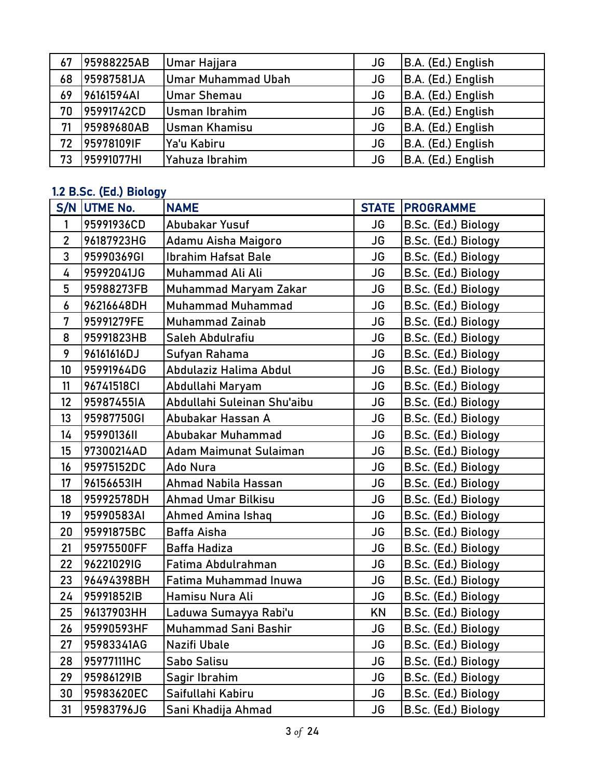| 67 | 95988225AB | Umar Hajjara         | JG | B.A. (Ed.) English |
|----|------------|----------------------|----|--------------------|
| 68 | 95987581JA | Umar Muhammad Ubah   | JG | B.A. (Ed.) English |
| 69 | 96161594AI | <b>Umar Shemau</b>   | JG | B.A. (Ed.) English |
| 70 | 95991742CD | <b>Usman Ibrahim</b> | JG | B.A. (Ed.) English |
| 71 | 95989680AB | Usman Khamisu        | JG | B.A. (Ed.) English |
| 72 | 95978109IF | Ya'u Kabiru          | JG | B.A. (Ed.) English |
| 73 | 95991077HI | Yahuza Ibrahim       | JG | B.A. (Ed.) English |

## 1.2 B.Sc. (Ed.) Biology

| S/N          | UTME No.   | <b>NAME</b>                 |           | <b>STATE   PROGRAMME</b> |
|--------------|------------|-----------------------------|-----------|--------------------------|
| 1            | 95991936CD | Abubakar Yusuf              | <b>JG</b> | B.Sc. (Ed.) Biology      |
| $\mathbf{2}$ | 96187923HG | Adamu Aisha Maigoro         | JG        | B.Sc. (Ed.) Biology      |
| 3            | 95990369GI | <b>Ibrahim Hafsat Bale</b>  | JG        | B.Sc. (Ed.) Biology      |
| 4            | 95992041JG | Muhammad Ali Ali            | <b>JG</b> | B.Sc. (Ed.) Biology      |
| 5            | 95988273FB | Muhammad Maryam Zakar       | <b>JG</b> | B.Sc. (Ed.) Biology      |
| 6            | 96216648DH | <b>Muhammad Muhammad</b>    | JG        | B.Sc. (Ed.) Biology      |
| 7            | 95991279FE | <b>Muhammad Zainab</b>      | <b>JG</b> | B.Sc. (Ed.) Biology      |
| 8            | 95991823HB | Saleh Abdulrafiu            | <b>JG</b> | B.Sc. (Ed.) Biology      |
| 9            | 96161616DJ | Sufyan Rahama               | <b>JG</b> | B.Sc. (Ed.) Biology      |
| 10           | 95991964DG | Abdulaziz Halima Abdul      | JG        | B.Sc. (Ed.) Biology      |
| 11           | 96741518CI | Abdullahi Maryam            | <b>JG</b> | B.Sc. (Ed.) Biology      |
| 12           | 95987455IA | Abdullahi Suleinan Shu'aibu | <b>JG</b> | B.Sc. (Ed.) Biology      |
| 13           | 95987750GI | Abubakar Hassan A           | <b>JG</b> | B.Sc. (Ed.) Biology      |
| 14           | 9599013611 | Abubakar Muhammad           | <b>JG</b> | B.Sc. (Ed.) Biology      |
| 15           | 97300214AD | Adam Maimunat Sulaiman      | JG        | B.Sc. (Ed.) Biology      |
| 16           | 95975152DC | Ado Nura                    | <b>JG</b> | B.Sc. (Ed.) Biology      |
| 17           | 96156653IH | Ahmad Nabila Hassan         | JG        | B.Sc. (Ed.) Biology      |
| 18           | 95992578DH | <b>Ahmad Umar Bilkisu</b>   | JG        | B.Sc. (Ed.) Biology      |
| 19           | 95990583AI | Ahmed Amina Ishaq           | <b>JG</b> | B.Sc. (Ed.) Biology      |
| 20           | 95991875BC | Baffa Aisha                 | <b>JG</b> | B.Sc. (Ed.) Biology      |
| 21           | 95975500FF | Baffa Hadiza                | JG        | B.Sc. (Ed.) Biology      |
| 22           | 96221029IG | Fatima Abdulrahman          | <b>JG</b> | B.Sc. (Ed.) Biology      |
| 23           | 96494398BH | Fatima Muhammad Inuwa       | <b>JG</b> | B.Sc. (Ed.) Biology      |
| 24           | 95991852IB | Hamisu Nura Ali             | <b>JG</b> | B.Sc. (Ed.) Biology      |
| 25           | 96137903HH | Laduwa Sumayya Rabi'u       | <b>KN</b> | B.Sc. (Ed.) Biology      |
| 26           | 95990593HF | Muhammad Sani Bashir        | JG        | B.Sc. (Ed.) Biology      |
| 27           | 95983341AG | Nazifi Ubale                | JG        | B.Sc. (Ed.) Biology      |
| 28           | 95977111HC | Sabo Salisu                 | <b>JG</b> | B.Sc. (Ed.) Biology      |
| 29           | 95986129IB | Sagir Ibrahim               | JG        | B.Sc. (Ed.) Biology      |
| 30           | 95983620EC | Saifullahi Kabiru           | JG        | B.Sc. (Ed.) Biology      |
| 31           | 95983796JG | Sani Khadija Ahmad          | JG        | B.Sc. (Ed.) Biology      |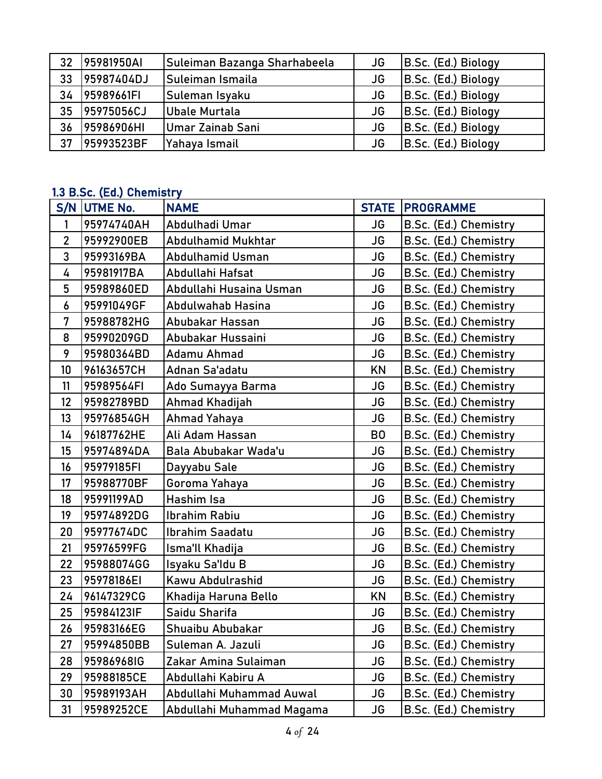| 32 | 95981950AI | Suleiman Bazanga Sharhabeela | JG | B.Sc. (Ed.) Biology |
|----|------------|------------------------------|----|---------------------|
| 33 | 95987404DJ | Suleiman Ismaila             | JG | B.Sc. (Ed.) Biology |
| 34 | 95989661FI | Suleman Isyaku               | JG | B.Sc. (Ed.) Biology |
| 35 | 95975056CJ | Ubale Murtala                | JG | B.Sc. (Ed.) Biology |
| 36 | 95986906HI | Umar Zainab Sani             | JG | B.Sc. (Ed.) Biology |
| 37 | 95993523BF | Yahaya Ismail                | JG | B.Sc. (Ed.) Biology |

## 1.3 B.Sc. (Ed.) Chemistry

|                | na miaan (man) anannaan j<br>S/N UTME No. | <b>NAME</b>               | <b>STATE</b>   | <b>PROGRAMME</b>      |
|----------------|-------------------------------------------|---------------------------|----------------|-----------------------|
| $\mathbf{1}$   | 95974740AH                                | Abdulhadi Umar            | JG             | B.Sc. (Ed.) Chemistry |
| $\overline{2}$ | 95992900EB                                | Abdulhamid Mukhtar        | <b>JG</b>      | B.Sc. (Ed.) Chemistry |
| 3              | 95993169BA                                | Abdulhamid Usman          | JG             | B.Sc. (Ed.) Chemistry |
| 4              | 95981917BA                                | Abdullahi Hafsat          | JG             | B.Sc. (Ed.) Chemistry |
| 5              | 95989860ED                                | Abdullahi Husaina Usman   | <b>JG</b>      | B.Sc. (Ed.) Chemistry |
| 6              | 95991049GF                                | Abdulwahab Hasina         | <b>JG</b>      | B.Sc. (Ed.) Chemistry |
| 7              | 95988782HG                                | Abubakar Hassan           | <b>JG</b>      | B.Sc. (Ed.) Chemistry |
| 8              | 95990209GD                                | Abubakar Hussaini         | <b>JG</b>      | B.Sc. (Ed.) Chemistry |
| 9              | 95980364BD                                | Adamu Ahmad               | <b>JG</b>      | B.Sc. (Ed.) Chemistry |
| 10             | 96163657CH                                | Adnan Sa'adatu            | KN             | B.Sc. (Ed.) Chemistry |
| 11             | 95989564FI                                | Ado Sumayya Barma         | <b>JG</b>      | B.Sc. (Ed.) Chemistry |
| 12             | 95982789BD                                | Ahmad Khadijah            | <b>JG</b>      | B.Sc. (Ed.) Chemistry |
| 13             | 95976854GH                                | <b>Ahmad Yahaya</b>       | <b>JG</b>      | B.Sc. (Ed.) Chemistry |
| 14             | 96187762HE                                | Ali Adam Hassan           | B <sub>0</sub> | B.Sc. (Ed.) Chemistry |
| 15             | 95974894DA                                | Bala Abubakar Wada'u      | <b>JG</b>      | B.Sc. (Ed.) Chemistry |
| 16             | 95979185FI                                | Dayyabu Sale              | <b>JG</b>      | B.Sc. (Ed.) Chemistry |
| 17             | 95988770BF                                | Goroma Yahaya             | <b>JG</b>      | B.Sc. (Ed.) Chemistry |
| 18             | 95991199AD                                | Hashim Isa                | <b>JG</b>      | B.Sc. (Ed.) Chemistry |
| 19             | 95974892DG                                | Ibrahim Rabiu             | JG             | B.Sc. (Ed.) Chemistry |
| 20             | 95977674DC                                | Ibrahim Saadatu           | <b>JG</b>      | B.Sc. (Ed.) Chemistry |
| 21             | 95976599FG                                | Isma'll Khadija           | <b>JG</b>      | B.Sc. (Ed.) Chemistry |
| 22             | 95988074GG                                | Isyaku Sa'ldu B           | <b>JG</b>      | B.Sc. (Ed.) Chemistry |
| 23             | 95978186EI                                | Kawu Abdulrashid          | <b>JG</b>      | B.Sc. (Ed.) Chemistry |
| 24             | 96147329CG                                | Khadija Haruna Bello      | <b>KN</b>      | B.Sc. (Ed.) Chemistry |
| 25             | 95984123IF                                | Saidu Sharifa             | <b>JG</b>      | B.Sc. (Ed.) Chemistry |
| 26             | 95983166EG                                | Shuaibu Abubakar          | <b>JG</b>      | B.Sc. (Ed.) Chemistry |
| 27             | 95994850BB                                | Suleman A. Jazuli         | JG             | B.Sc. (Ed.) Chemistry |
| 28             | 95986968IG                                | Zakar Amina Sulaiman      | JG             | B.Sc. (Ed.) Chemistry |
| 29             | 95988185CE                                | Abdullahi Kabiru A        | <b>JG</b>      | B.Sc. (Ed.) Chemistry |
| 30             | 95989193AH                                | Abdullahi Muhammad Auwal  | JG             | B.Sc. (Ed.) Chemistry |
| 31             | 95989252CE                                | Abdullahi Muhammad Magama | JG             | B.Sc. (Ed.) Chemistry |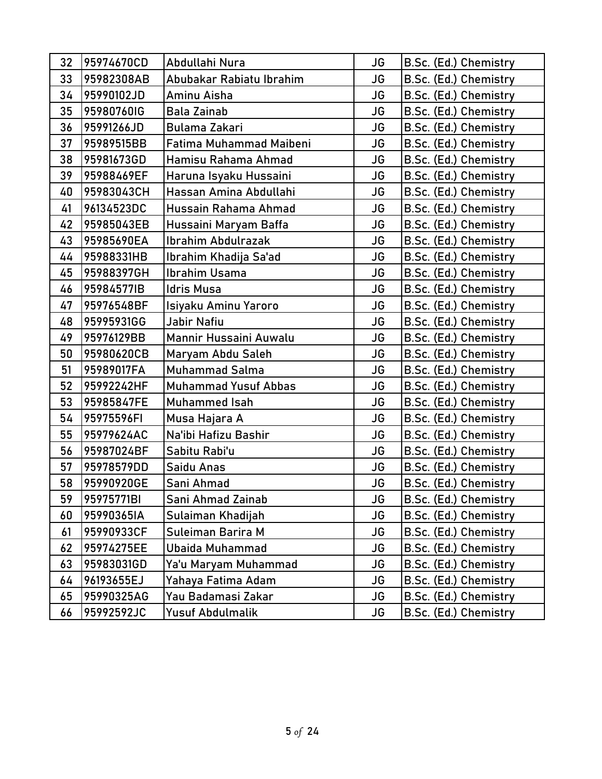| 32 | 95974670CD | Abdullahi Nura              | <b>JG</b> | B.Sc. (Ed.) Chemistry |
|----|------------|-----------------------------|-----------|-----------------------|
| 33 | 95982308AB | Abubakar Rabiatu Ibrahim    | <b>JG</b> | B.Sc. (Ed.) Chemistry |
| 34 | 95990102JD | Aminu Aisha                 | <b>JG</b> | B.Sc. (Ed.) Chemistry |
| 35 | 95980760IG | <b>Bala Zainab</b>          | JG        | B.Sc. (Ed.) Chemistry |
| 36 | 95991266JD | <b>Bulama Zakari</b>        | <b>JG</b> | B.Sc. (Ed.) Chemistry |
| 37 | 95989515BB | Fatima Muhammad Maibeni     | <b>JG</b> | B.Sc. (Ed.) Chemistry |
| 38 | 95981673GD | Hamisu Rahama Ahmad         | <b>JG</b> | B.Sc. (Ed.) Chemistry |
| 39 | 95988469EF | Haruna Isyaku Hussaini      | JG        | B.Sc. (Ed.) Chemistry |
| 40 | 95983043CH | Hassan Amina Abdullahi      | <b>JG</b> | B.Sc. (Ed.) Chemistry |
| 41 | 96134523DC | Hussain Rahama Ahmad        | <b>JG</b> | B.Sc. (Ed.) Chemistry |
| 42 | 95985043EB | Hussaini Maryam Baffa       | <b>JG</b> | B.Sc. (Ed.) Chemistry |
| 43 | 95985690EA | <b>Ibrahim Abdulrazak</b>   | JG        | B.Sc. (Ed.) Chemistry |
| 44 | 95988331HB | Ibrahim Khadija Sa'ad       | <b>JG</b> | B.Sc. (Ed.) Chemistry |
| 45 | 95988397GH | <b>Ibrahim Usama</b>        | <b>JG</b> | B.Sc. (Ed.) Chemistry |
| 46 | 95984577IB | Idris Musa                  | JG        | B.Sc. (Ed.) Chemistry |
| 47 | 95976548BF | Isiyaku Aminu Yaroro        | <b>JG</b> | B.Sc. (Ed.) Chemistry |
| 48 | 95995931GG | Jabir Nafiu                 | <b>JG</b> | B.Sc. (Ed.) Chemistry |
| 49 | 95976129BB | Mannir Hussaini Auwalu      | JG        | B.Sc. (Ed.) Chemistry |
| 50 | 95980620CB | Maryam Abdu Saleh           | JG        | B.Sc. (Ed.) Chemistry |
| 51 | 95989017FA | <b>Muhammad Salma</b>       | <b>JG</b> | B.Sc. (Ed.) Chemistry |
| 52 | 95992242HF | <b>Muhammad Yusuf Abbas</b> | <b>JG</b> | B.Sc. (Ed.) Chemistry |
| 53 | 95985847FE | Muhammed Isah               | JG        | B.Sc. (Ed.) Chemistry |
| 54 | 95975596FI | Musa Hajara A               | JG        | B.Sc. (Ed.) Chemistry |
| 55 | 95979624AC | Na'ibi Hafizu Bashir        | <b>JG</b> | B.Sc. (Ed.) Chemistry |
| 56 | 95987024BF | Sabitu Rabi'u               | <b>JG</b> | B.Sc. (Ed.) Chemistry |
| 57 | 95978579DD | Saidu Anas                  | JG        | B.Sc. (Ed.) Chemistry |
| 58 | 95990920GE | Sani Ahmad                  | JG        | B.Sc. (Ed.) Chemistry |
| 59 | 95975771BI | Sani Ahmad Zainab           | JG        | B.Sc. (Ed.) Chemistry |
| 60 | 95990365IA | Sulaiman Khadijah           | JG        | B.Sc. (Ed.) Chemistry |
| 61 | 95990933CF | Suleiman Barira M           | JG        | B.Sc. (Ed.) Chemistry |
| 62 | 95974275EE | Ubaida Muhammad             | JG        | B.Sc. (Ed.) Chemistry |
| 63 | 95983031GD | Ya'u Maryam Muhammad        | JG        | B.Sc. (Ed.) Chemistry |
| 64 | 96193655EJ | Yahaya Fatima Adam          | JG        | B.Sc. (Ed.) Chemistry |
| 65 | 95990325AG | Yau Badamasi Zakar          | JG        | B.Sc. (Ed.) Chemistry |
| 66 | 95992592JC | <b>Yusuf Abdulmalik</b>     | JG        | B.Sc. (Ed.) Chemistry |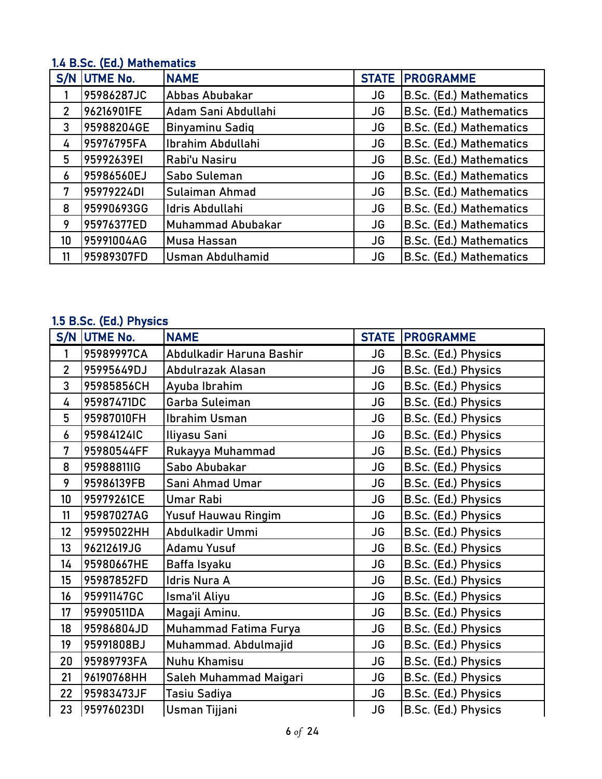## 1.4 B.Sc. (Ed.) Mathematics

|                  | S/N UTME No. | <b>NAME</b>             | <b>STATE</b> | <b>PROGRAMME</b>        |
|------------------|--------------|-------------------------|--------------|-------------------------|
|                  | 95986287JC   | Abbas Abubakar          | JG           | B.Sc. (Ed.) Mathematics |
| $\overline{2}$   | 96216901FE   | Adam Sani Abdullahi     | JG           | B.Sc. (Ed.) Mathematics |
| 3                | 95988204GE   | <b>Binyaminu Sadiq</b>  | JG           | B.Sc. (Ed.) Mathematics |
| 4                | 95976795FA   | Ibrahim Abdullahi       | JG           | B.Sc. (Ed.) Mathematics |
| 5                | 95992639EI   | Rabi'u Nasiru           | JG           | B.Sc. (Ed.) Mathematics |
| $\boldsymbol{6}$ | 95986560EJ   | Sabo Suleman            | JG           | B.Sc. (Ed.) Mathematics |
| 7                | 95979224DI   | Sulaiman Ahmad          | JG           | B.Sc. (Ed.) Mathematics |
| 8                | 95990693GG   | Idris Abdullahi         | JG           | B.Sc. (Ed.) Mathematics |
| 9                | 95976377ED   | Muhammad Abubakar       | JG           | B.Sc. (Ed.) Mathematics |
| 10               | 95991004AG   | Musa Hassan             | <b>JG</b>    | B.Sc. (Ed.) Mathematics |
| 11               | 95989307FD   | <b>Usman Abdulhamid</b> | JG           | B.Sc. (Ed.) Mathematics |

### 1.5 B.Sc. (Ed.) Physics

| S/N            | <b>UTME No.</b> | <b>NAME</b>                | <b>STATE</b> | <b>PROGRAMME</b>    |
|----------------|-----------------|----------------------------|--------------|---------------------|
| 1              | 95989997CA      | Abdulkadir Haruna Bashir   | JG           | B.Sc. (Ed.) Physics |
| $\overline{2}$ | 95995649DJ      | Abdulrazak Alasan          | JG           | B.Sc. (Ed.) Physics |
| 3              | 95985856CH      | Ayuba Ibrahim              | <b>JG</b>    | B.Sc. (Ed.) Physics |
| 4              | 95987471DC      | Garba Suleiman             | <b>JG</b>    | B.Sc. (Ed.) Physics |
| 5              | 95987010FH      | Ibrahim Usman              | <b>JG</b>    | B.Sc. (Ed.) Physics |
| 6              | 95984124IC      | Iliyasu Sani               | <b>JG</b>    | B.Sc. (Ed.) Physics |
| 7              | 95980544FF      | Rukayya Muhammad           | <b>JG</b>    | B.Sc. (Ed.) Physics |
| 8              | 95988811IG      | Sabo Abubakar              | <b>JG</b>    | B.Sc. (Ed.) Physics |
| 9              | 95986139FB      | Sani Ahmad Umar            | <b>JG</b>    | B.Sc. (Ed.) Physics |
| 10             | 95979261CE      | <b>Umar Rabi</b>           | JG           | B.Sc. (Ed.) Physics |
| 11             | 95987027AG      | <b>Yusuf Hauwau Ringim</b> | JG           | B.Sc. (Ed.) Physics |
| 12             | 95995022HH      | Abdulkadir Ummi            | <b>JG</b>    | B.Sc. (Ed.) Physics |
| 13             | 96212619JG      | Adamu Yusuf                | JG           | B.Sc. (Ed.) Physics |
| 14             | 95980667HE      | Baffa Isyaku               | <b>JG</b>    | B.Sc. (Ed.) Physics |
| 15             | 95987852FD      | Idris Nura A               | JG           | B.Sc. (Ed.) Physics |
| 16             | 95991147GC      | Isma'il Aliyu              | <b>JG</b>    | B.Sc. (Ed.) Physics |
| 17             | 95990511DA      | Magaji Aminu.              | <b>JG</b>    | B.Sc. (Ed.) Physics |
| 18             | 95986804JD      | Muhammad Fatima Furya      | <b>JG</b>    | B.Sc. (Ed.) Physics |
| 19             | 95991808BJ      | Muhammad. Abdulmajid       | JG           | B.Sc. (Ed.) Physics |
| 20             | 95989793FA      | <b>Nuhu Khamisu</b>        | JG           | B.Sc. (Ed.) Physics |
| 21             | 96190768HH      | Saleh Muhammad Maigari     | JG           | B.Sc. (Ed.) Physics |
| 22             | 95983473JF      | Tasiu Sadiya               | JG           | B.Sc. (Ed.) Physics |
| 23             | 95976023DI      | Usman Tijjani              | JG           | B.Sc. (Ed.) Physics |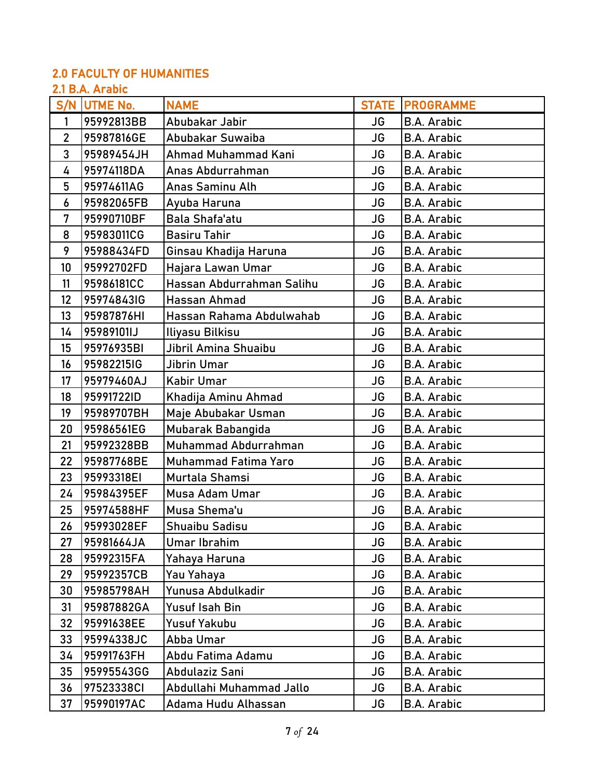## 2.0 FACULTY OF HUMANITIES

### 2.1 B.A. Arabic

|                | <u>ai pini ni uviv</u><br>S/N UTME No. | <b>NAME</b>                 |           | <b>STATE PROGRAMME</b> |
|----------------|----------------------------------------|-----------------------------|-----------|------------------------|
| 1              | 95992813BB                             | Abubakar Jabir              | JG        | <b>B.A. Arabic</b>     |
| $\overline{2}$ | 95987816GE                             | Abubakar Suwaiba            | <b>JG</b> | <b>B.A. Arabic</b>     |
| 3              | 95989454JH                             | Ahmad Muhammad Kani         | JG        | <b>B.A. Arabic</b>     |
| 4              | 95974118DA                             | Anas Abdurrahman            | <b>JG</b> | <b>B.A. Arabic</b>     |
| 5              | 95974611AG                             | Anas Saminu Alh             | JG        | <b>B.A. Arabic</b>     |
| 6              | 95982065FB                             | Ayuba Haruna                | <b>JG</b> | <b>B.A. Arabic</b>     |
| 7              | 95990710BF                             | Bala Shafa'atu              | <b>JG</b> | <b>B.A. Arabic</b>     |
| 8              | 95983011CG                             | <b>Basiru Tahir</b>         | <b>JG</b> | <b>B.A. Arabic</b>     |
| 9              | 95988434FD                             | Ginsau Khadija Haruna       | JG        | B.A. Arabic            |
| 10             | 95992702FD                             | Hajara Lawan Umar           | <b>JG</b> | <b>B.A. Arabic</b>     |
| 11             | 95986181CC                             | Hassan Abdurrahman Salihu   | JG        | <b>B.A. Arabic</b>     |
| 12             | 959748431G                             | Hassan Ahmad                | JG        | <b>B.A. Arabic</b>     |
| 13             | 95987876HI                             | Hassan Rahama Abdulwahab    | JG        | <b>B.A. Arabic</b>     |
| 14             | 95989101IJ                             | Iliyasu Bilkisu             | <b>JG</b> | <b>B.A. Arabic</b>     |
| 15             | 95976935BI                             | Jibril Amina Shuaibu        | <b>JG</b> | <b>B.A. Arabic</b>     |
| 16             | 95982215IG                             | Jibrin Umar                 | JG        | <b>B.A. Arabic</b>     |
| 17             | 95979460AJ                             | Kabir Umar                  | <b>JG</b> | <b>B.A. Arabic</b>     |
| 18             | 95991722ID                             | Khadija Aminu Ahmad         | <b>JG</b> | <b>B.A. Arabic</b>     |
| 19             | 95989707BH                             | Maje Abubakar Usman         | <b>JG</b> | <b>B.A. Arabic</b>     |
| 20             | 95986561EG                             | Mubarak Babangida           | <b>JG</b> | <b>B.A. Arabic</b>     |
| 21             | 95992328BB                             | Muhammad Abdurrahman        | JG        | <b>B.A. Arabic</b>     |
| 22             | 95987768BE                             | <b>Muhammad Fatima Yaro</b> | <b>JG</b> | <b>B.A. Arabic</b>     |
| 23             | 95993318EI                             | Murtala Shamsi              | JG        | <b>B.A. Arabic</b>     |
| 24             | 95984395EF                             | Musa Adam Umar              | <b>JG</b> | <b>B.A. Arabic</b>     |
| 25             | 95974588HF                             | Musa Shema'u                | <b>JG</b> | <b>B.A. Arabic</b>     |
| 26             | 95993028EF                             | <b>Shuaibu Sadisu</b>       | <b>JG</b> | <b>B.A. Arabic</b>     |
| 27             | 95981664JA                             | <b>Umar Ibrahim</b>         | JG        | <b>B.A. Arabic</b>     |
| 28             | 95992315FA                             | Yahaya Haruna               | <b>JG</b> | B.A. Arabic            |
| 29             | 95992357CB                             | Yau Yahaya                  | <b>JG</b> | <b>B.A. Arabic</b>     |
| 30             | 95985798AH                             | Yunusa Abdulkadir           | <b>JG</b> | <b>B.A. Arabic</b>     |
| 31             | 95987882GA                             | Yusuf Isah Bin              | JG        | <b>B.A. Arabic</b>     |
| 32             | 95991638EE                             | <b>Yusuf Yakubu</b>         | JG        | B.A. Arabic            |
| 33             | 95994338JC                             | Abba Umar                   | <b>JG</b> | <b>B.A. Arabic</b>     |
| 34             | 95991763FH                             | Abdu Fatima Adamu           | JG        | <b>B.A. Arabic</b>     |
| 35             | 95995543GG                             | Abdulaziz Sani              | JG        | B.A. Arabic            |
| 36             | 97523338CI                             | Abdullahi Muhammad Jallo    | JG        | <b>B.A. Arabic</b>     |
| 37             | 95990197AC                             | Adama Hudu Alhassan         | JG        | <b>B.A. Arabic</b>     |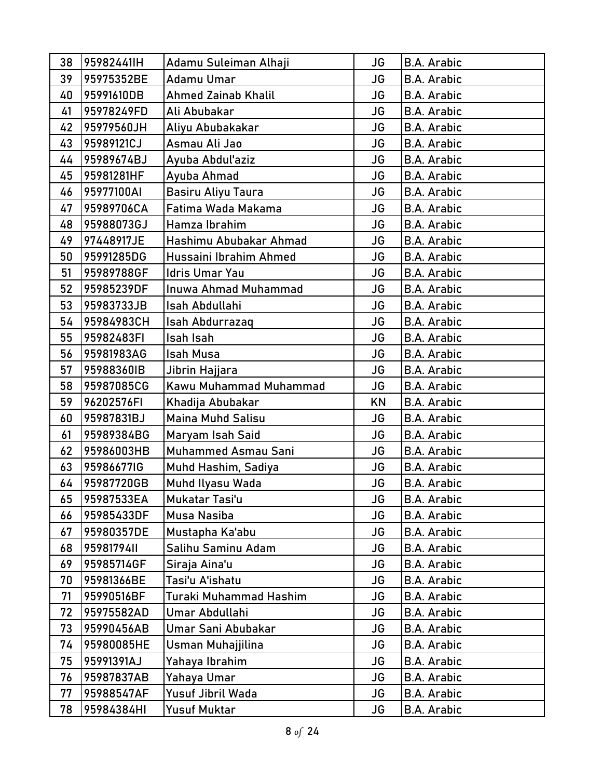| 38 | 95982441IH | Adamu Suleiman Alhaji     | <b>JG</b> | <b>B.A. Arabic</b> |
|----|------------|---------------------------|-----------|--------------------|
| 39 | 95975352BE | Adamu Umar                | JG        | <b>B.A. Arabic</b> |
| 40 | 95991610DB | Ahmed Zainab Khalil       | JG        | <b>B.A. Arabic</b> |
| 41 | 95978249FD | Ali Abubakar              | <b>JG</b> | <b>B.A. Arabic</b> |
| 42 | 95979560JH | Aliyu Abubakakar          | JG        | <b>B.A. Arabic</b> |
| 43 | 95989121CJ | Asmau Ali Jao             | <b>JG</b> | <b>B.A. Arabic</b> |
| 44 | 95989674BJ | Ayuba Abdul'aziz          | JG        | <b>B.A. Arabic</b> |
| 45 | 95981281HF | Ayuba Ahmad               | JG        | <b>B.A. Arabic</b> |
| 46 | 95977100AI | <b>Basiru Aliyu Taura</b> | JG        | <b>B.A. Arabic</b> |
| 47 | 95989706CA | Fatima Wada Makama        | JG        | <b>B.A. Arabic</b> |
| 48 | 95988073GJ | Hamza Ibrahim             | JG        | <b>B.A. Arabic</b> |
| 49 | 97448917JE | Hashimu Abubakar Ahmad    | JG        | <b>B.A. Arabic</b> |
| 50 | 95991285DG | Hussaini Ibrahim Ahmed    | <b>JG</b> | <b>B.A. Arabic</b> |
| 51 | 95989788GF | <b>Idris Umar Yau</b>     | JG        | <b>B.A. Arabic</b> |
| 52 | 95985239DF | Inuwa Ahmad Muhammad      | JG        | <b>B.A. Arabic</b> |
| 53 | 95983733JB | Isah Abdullahi            | JG        | <b>B.A. Arabic</b> |
| 54 | 95984983CH | Isah Abdurrazaq           | <b>JG</b> | <b>B.A. Arabic</b> |
| 55 | 95982483FI | Isah Isah                 | JG        | <b>B.A. Arabic</b> |
| 56 | 95981983AG | <b>Isah Musa</b>          | <b>JG</b> | <b>B.A. Arabic</b> |
| 57 | 95988360IB | Jibrin Hajjara            | <b>JG</b> | <b>B.A. Arabic</b> |
| 58 | 95987085CG | Kawu Muhammad Muhammad    | JG        | <b>B.A. Arabic</b> |
| 59 | 96202576FI | Khadija Abubakar          | KN        | <b>B.A. Arabic</b> |
| 60 | 95987831BJ | Maina Muhd Salisu         | JG        | <b>B.A. Arabic</b> |
| 61 | 95989384BG | Maryam Isah Said          | JG        | <b>B.A. Arabic</b> |
| 62 | 95986003HB | Muhammed Asmau Sani       | JG        | <b>B.A. Arabic</b> |
| 63 | 95986677IG | Muhd Hashim, Sadiya       | JG        | <b>B.A. Arabic</b> |
| 64 | 95987720GB | Muhd Ilyasu Wada          | <b>JG</b> | <b>B.A. Arabic</b> |
| 65 | 95987533EA | Mukatar Tasi'u            | <b>JG</b> | <b>B.A. Arabic</b> |
| 66 | 95985433DF | Musa Nasiba               | JG        | <b>B.A. Arabic</b> |
| 67 | 95980357DE | Mustapha Ka'abu           | JG        | <b>B.A. Arabic</b> |
| 68 | 95981794II | Salihu Saminu Adam        | JG        | <b>B.A. Arabic</b> |
| 69 | 95985714GF | Siraja Aina'u             | <b>JG</b> | <b>B.A. Arabic</b> |
| 70 | 95981366BE | Tasi'u A'ishatu           | JG        | <b>B.A. Arabic</b> |
| 71 | 95990516BF | Turaki Muhammad Hashim    | JG        | <b>B.A. Arabic</b> |
| 72 | 95975582AD | Umar Abdullahi            | JG        | <b>B.A. Arabic</b> |
| 73 | 95990456AB | Umar Sani Abubakar        | JG        | <b>B.A. Arabic</b> |
| 74 | 95980085HE | Usman Muhajjilina         | JG        | <b>B.A. Arabic</b> |
| 75 | 95991391AJ | Yahaya Ibrahim            | JG        | <b>B.A. Arabic</b> |
| 76 | 95987837AB | Yahaya Umar               | <b>JG</b> | <b>B.A. Arabic</b> |
| 77 | 95988547AF | Yusuf Jibril Wada         | JG        | <b>B.A. Arabic</b> |
| 78 | 95984384HI | <b>Yusuf Muktar</b>       | JG        | <b>B.A. Arabic</b> |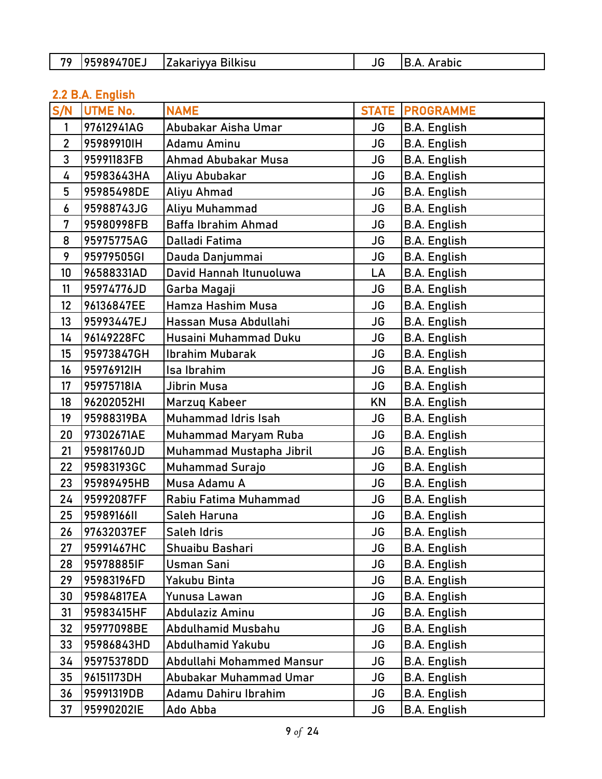| 70<br>$70E$ ر $-$<br>-<br>$-1$ $     -$<br><b>Ikisu</b><br>аĸ<br>1 V V 4<br>.<br>______ |  | .<br>anic.<br>____ |
|-----------------------------------------------------------------------------------------|--|--------------------|
|-----------------------------------------------------------------------------------------|--|--------------------|

## 2.2 B.A. English

| S/N            | <b>UTME No.</b> | <b>NAME</b>                 | <b>STATE</b> | <b>PROGRAMME</b>    |
|----------------|-----------------|-----------------------------|--------------|---------------------|
| 1              | 97612941AG      | Abubakar Aisha Umar         | JG           | <b>B.A. English</b> |
| $\overline{2}$ | 95989910IH      | Adamu Aminu                 | <b>JG</b>    | <b>B.A. English</b> |
| 3              | 95991183FB      | Ahmad Abubakar Musa         | <b>JG</b>    | <b>B.A. English</b> |
| 4              | 95983643HA      | Aliyu Abubakar              | <b>JG</b>    | <b>B.A. English</b> |
| 5              | 95985498DE      | Aliyu Ahmad                 | JG           | <b>B.A. English</b> |
| 6              | 95988743JG      | Aliyu Muhammad              | <b>JG</b>    | <b>B.A. English</b> |
| 7              | 95980998FB      | <b>Baffa Ibrahim Ahmad</b>  | <b>JG</b>    | <b>B.A. English</b> |
| 8              | 95975775AG      | Dalladi Fatima              | <b>JG</b>    | <b>B.A. English</b> |
| 9              | 95979505GI      | Dauda Danjummai             | JG           | <b>B.A. English</b> |
| 10             | 96588331AD      | David Hannah Itunuoluwa     | LA           | <b>B.A. English</b> |
| 11             | 95974776JD      | Garba Magaji                | <b>JG</b>    | <b>B.A. English</b> |
| 12             | 96136847EE      | Hamza Hashim Musa           | JG           | <b>B.A. English</b> |
| 13             | 95993447EJ      | Hassan Musa Abdullahi       | JG           | <b>B.A. English</b> |
| 14             | 96149228FC      | Husaini Muhammad Duku       | JG           | <b>B.A. English</b> |
| 15             | 95973847GH      | <b>Ibrahim Mubarak</b>      | <b>JG</b>    | <b>B.A. English</b> |
| 16             | 95976912IH      | Isa Ibrahim                 | <b>JG</b>    | <b>B.A. English</b> |
| 17             | 95975718IA      | Jibrin Musa                 | <b>JG</b>    | <b>B.A. English</b> |
| 18             | 96202052HI      | Marzuq Kabeer               | KN           | <b>B.A. English</b> |
| 19             | 95988319BA      | Muhammad Idris Isah         | JG           | <b>B.A.</b> English |
| 20             | 97302671AE      | <b>Muhammad Maryam Ruba</b> | JG           | <b>B.A. English</b> |
| 21             | 95981760JD      | Muhammad Mustapha Jibril    | <b>JG</b>    | <b>B.A. English</b> |
| 22             | 95983193GC      | <b>Muhammad Surajo</b>      | JG           | <b>B.A. English</b> |
| 23             | 95989495HB      | Musa Adamu A                | <b>JG</b>    | <b>B.A. English</b> |
| 24             | 95992087FF      | Rabiu Fatima Muhammad       | <b>JG</b>    | <b>B.A. English</b> |
| 25             | 95989166II      | Saleh Haruna                | <b>JG</b>    | <b>B.A. English</b> |
| 26             | 97632037EF      | Saleh Idris                 | JG           | <b>B.A. English</b> |
| 27             | 95991467HC      | Shuaibu Bashari             | JG           | <b>B.A.</b> English |
| 28             | 95978885IF      | Usman Sani                  | JG           | <b>B.A. English</b> |
| 29             | 95983196FD      | Yakubu Binta                | JG           | <b>B.A. English</b> |
| 30             | 95984817EA      | Yunusa Lawan                | JG           | <b>B.A. English</b> |
| 31             | 95983415HF      | Abdulaziz Aminu             | JG           | <b>B.A. English</b> |
| 32             | 95977098BE      | Abdulhamid Musbahu          | JG           | <b>B.A. English</b> |
| 33             | 95986843HD      | Abdulhamid Yakubu           | JG           | <b>B.A.</b> English |
| 34             | 95975378DD      | Abdullahi Mohammed Mansur   | JG           | <b>B.A. English</b> |
| 35             | 96151173DH      | Abubakar Muhammad Umar      | JG           | <b>B.A. English</b> |
| 36             | 95991319DB      | Adamu Dahiru Ibrahim        | JG           | <b>B.A. English</b> |
| 37             | 95990202IE      | Ado Abba                    | JG           | <b>B.A. English</b> |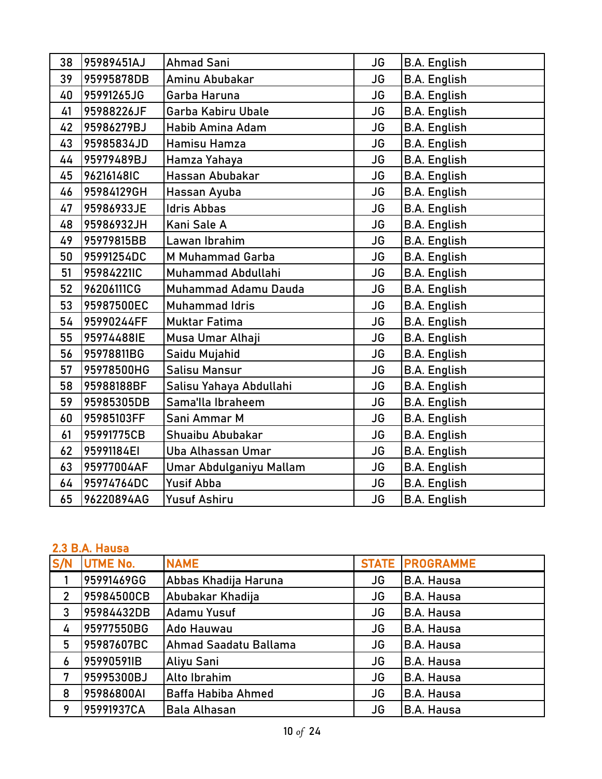| 38 | 95989451AJ | <b>Ahmad Sani</b>        | <b>JG</b> | <b>B.A. English</b> |
|----|------------|--------------------------|-----------|---------------------|
| 39 | 95995878DB | Aminu Abubakar           | <b>JG</b> | <b>B.A. English</b> |
| 40 | 95991265JG | Garba Haruna             | JG        | <b>B.A. English</b> |
| 41 | 95988226JF | Garba Kabiru Ubale       | <b>JG</b> | <b>B.A. English</b> |
| 42 | 95986279BJ | <b>Habib Amina Adam</b>  | JG        | <b>B.A. English</b> |
| 43 | 95985834JD | Hamisu Hamza             | JG        | <b>B.A. English</b> |
| 44 | 95979489BJ | Hamza Yahaya             | <b>JG</b> | <b>B.A. English</b> |
| 45 | 96216148IC | Hassan Abubakar          | <b>JG</b> | <b>B.A. English</b> |
| 46 | 95984129GH | Hassan Ayuba             | <b>JG</b> | <b>B.A. English</b> |
| 47 | 95986933JE | <b>Idris Abbas</b>       | <b>JG</b> | <b>B.A. English</b> |
| 48 | 95986932JH | Kani Sale A              | <b>JG</b> | <b>B.A. English</b> |
| 49 | 95979815BB | Lawan Ibrahim            | <b>JG</b> | <b>B.A. English</b> |
| 50 | 95991254DC | M Muhammad Garba         | JG        | <b>B.A. English</b> |
| 51 | 95984221IC | Muhammad Abdullahi       | <b>JG</b> | <b>B.A. English</b> |
| 52 | 96206111CG | Muhammad Adamu Dauda     | <b>JG</b> | <b>B.A. English</b> |
| 53 | 95987500EC | Muhammad Idris           | <b>JG</b> | <b>B.A. English</b> |
| 54 | 95990244FF | <b>Muktar Fatima</b>     | <b>JG</b> | <b>B.A. English</b> |
| 55 | 95974488IE | Musa Umar Alhaji         | JG        | <b>B.A. English</b> |
| 56 | 95978811BG | Saidu Mujahid            | <b>JG</b> | <b>B.A. English</b> |
| 57 | 95978500HG | Salisu Mansur            | <b>JG</b> | <b>B.A. English</b> |
| 58 | 95988188BF | Salisu Yahaya Abdullahi  | <b>JG</b> | <b>B.A. English</b> |
| 59 | 95985305DB | Sama'lla Ibraheem        | <b>JG</b> | <b>B.A. English</b> |
| 60 | 95985103FF | Sani Ammar M             | <b>JG</b> | <b>B.A. English</b> |
| 61 | 95991775CB | Shuaibu Abubakar         | <b>JG</b> | <b>B.A. English</b> |
| 62 | 95991184EI | <b>Uba Alhassan Umar</b> | <b>JG</b> | <b>B.A. English</b> |
| 63 | 95977004AF | Umar Abdulganiyu Mallam  | JG        | <b>B.A. English</b> |
| 64 | 95974764DC | <b>Yusif Abba</b>        | <b>JG</b> | <b>B.A. English</b> |
| 65 | 96220894AG | <b>Yusuf Ashiru</b>      | <b>JG</b> | <b>B.A. English</b> |

### 2.3 B.A. Hausa

| S/N            | UTME No.   | <b>NAME</b>               |           | <b>STATE PROGRAMME</b> |
|----------------|------------|---------------------------|-----------|------------------------|
|                | 95991469GG | Abbas Khadija Haruna      | <b>JG</b> | <b>B.A. Hausa</b>      |
| $\overline{2}$ | 95984500CB | Abubakar Khadija          | JG        | <b>B.A. Hausa</b>      |
| 3              | 95984432DB | <b>Adamu Yusuf</b>        | JG        | <b>B.A. Hausa</b>      |
| 4              | 95977550BG | Ado Hauwau                | JG        | <b>B.A. Hausa</b>      |
| 5              | 95987607BC | Ahmad Saadatu Ballama     | JG        | <b>B.A. Hausa</b>      |
| 6              | 95990591IB | Aliyu Sani                | <b>JG</b> | <b>B.A. Hausa</b>      |
| 7              | 95995300BJ | Alto Ibrahim              | <b>JG</b> | <b>B.A. Hausa</b>      |
| 8              | 95986800AI | <b>Baffa Habiba Ahmed</b> | JG        | <b>B.A. Hausa</b>      |
| 9              | 95991937CA | <b>Bala Alhasan</b>       | JG        | <b>B.A. Hausa</b>      |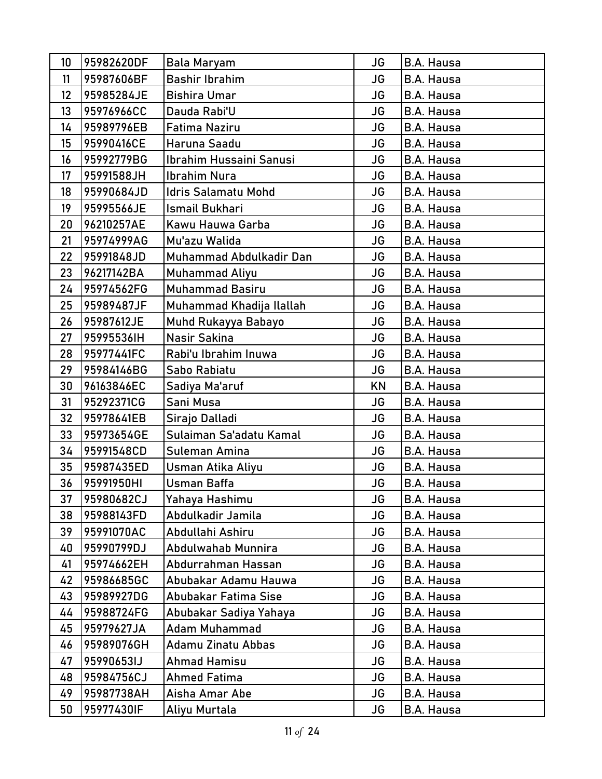| 10 | 95982620DF | Bala Maryam                | <b>JG</b> | <b>B.A. Hausa</b> |
|----|------------|----------------------------|-----------|-------------------|
| 11 | 95987606BF | <b>Bashir Ibrahim</b>      | <b>JG</b> | <b>B.A. Hausa</b> |
| 12 | 95985284JE | <b>Bishira Umar</b>        | <b>JG</b> | B.A. Hausa        |
| 13 | 95976966CC | Dauda Rabi'U               | <b>JG</b> | <b>B.A. Hausa</b> |
| 14 | 95989796EB | Fatima Naziru              | JG        | <b>B.A. Hausa</b> |
| 15 | 95990416CE | Haruna Saadu               | <b>JG</b> | B.A. Hausa        |
| 16 | 95992779BG | Ibrahim Hussaini Sanusi    | JG        | <b>B.A. Hausa</b> |
| 17 | 95991588JH | <b>Ibrahim Nura</b>        | <b>JG</b> | <b>B.A. Hausa</b> |
| 18 | 95990684JD | <b>Idris Salamatu Mohd</b> | <b>JG</b> | B.A. Hausa        |
| 19 | 95995566JE | <b>Ismail Bukhari</b>      | <b>JG</b> | <b>B.A. Hausa</b> |
| 20 | 96210257AE | Kawu Hauwa Garba           | <b>JG</b> | B.A. Hausa        |
| 21 | 95974999AG | Mu'azu Walida              | JG        | <b>B.A. Hausa</b> |
| 22 | 95991848JD | Muhammad Abdulkadir Dan    | <b>JG</b> | <b>B.A. Hausa</b> |
| 23 | 96217142BA | Muhammad Aliyu             | JG        | B.A. Hausa        |
| 24 | 95974562FG | <b>Muhammad Basiru</b>     | JG        | <b>B.A. Hausa</b> |
| 25 | 95989487JF | Muhammad Khadija Ilallah   | JG        | B.A. Hausa        |
| 26 | 95987612JE | Muhd Rukayya Babayo        | <b>JG</b> | B.A. Hausa        |
| 27 | 95995536IH | Nasir Sakina               | JG        | B.A. Hausa        |
| 28 | 95977441FC | Rabi'u Ibrahim Inuwa       | JG        | B.A. Hausa        |
| 29 | 95984146BG | Sabo Rabiatu               | <b>JG</b> | <b>B.A. Hausa</b> |
| 30 | 96163846EC | Sadiya Ma'aruf             | KN        | B.A. Hausa        |
| 31 | 95292371CG | Sani Musa                  | <b>JG</b> | B.A. Hausa        |
| 32 | 95978641EB | Sirajo Dalladi             | <b>JG</b> | <b>B.A. Hausa</b> |
| 33 | 95973654GE | Sulaiman Sa'adatu Kamal    | <b>JG</b> | B.A. Hausa        |
| 34 | 95991548CD | Suleman Amina              | JG        | B.A. Hausa        |
| 35 | 95987435ED | Usman Atika Aliyu          | <b>JG</b> | <b>B.A. Hausa</b> |
| 36 | 95991950HI | <b>Usman Baffa</b>         | <b>JG</b> | <b>B.A. Hausa</b> |
| 37 | 95980682CJ | Yahaya Hashimu             | JG        | <b>B.A. Hausa</b> |
| 38 | 95988143FD | Abdulkadir Jamila          | JG        | B.A. Hausa        |
| 39 | 95991070AC | Abdullahi Ashiru           | JG        | B.A. Hausa        |
| 40 | 95990799DJ | Abdulwahab Munnira         | JG        | <b>B.A. Hausa</b> |
| 41 | 95974662EH | Abdurrahman Hassan         | JG        | <b>B.A. Hausa</b> |
| 42 | 95986685GC | Abubakar Adamu Hauwa       | JG        | <b>B.A. Hausa</b> |
| 43 | 95989927DG | Abubakar Fatima Sise       | JG        | B.A. Hausa        |
| 44 | 95988724FG | Abubakar Sadiya Yahaya     | JG        | <b>B.A. Hausa</b> |
| 45 | 95979627JA | <b>Adam Muhammad</b>       | JG        | B.A. Hausa        |
| 46 | 95989076GH | Adamu Zinatu Abbas         | JG        | B.A. Hausa        |
| 47 | 95990653IJ | <b>Ahmad Hamisu</b>        | JG        | B.A. Hausa        |
| 48 | 95984756CJ | <b>Ahmed Fatima</b>        | <b>JG</b> | <b>B.A. Hausa</b> |
| 49 | 95987738AH | Aisha Amar Abe             | JG        | B.A. Hausa        |
| 50 | 95977430IF | Aliyu Murtala              | JG        | B.A. Hausa        |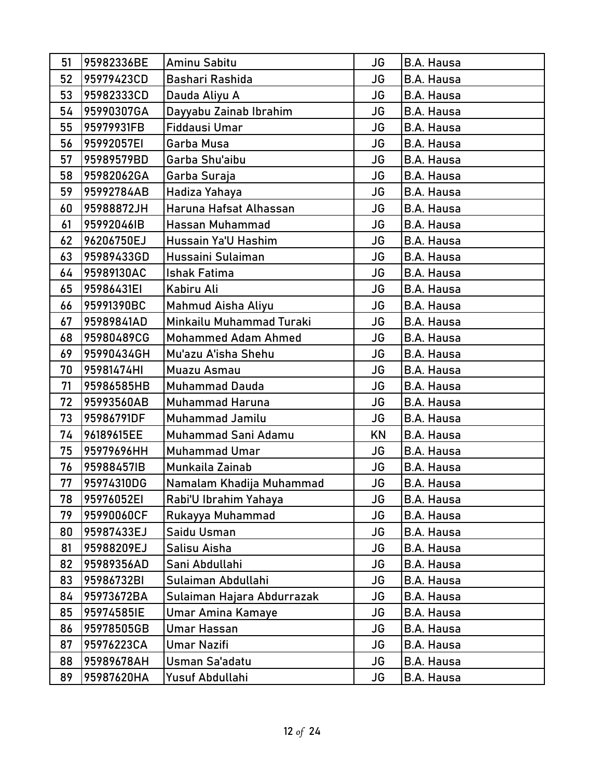| 51 | 95982336BE | Aminu Sabitu               | <b>JG</b> | <b>B.A. Hausa</b> |
|----|------------|----------------------------|-----------|-------------------|
| 52 | 95979423CD | Bashari Rashida            | <b>JG</b> | <b>B.A. Hausa</b> |
| 53 | 95982333CD | Dauda Aliyu A              | <b>JG</b> | <b>B.A. Hausa</b> |
| 54 | 95990307GA | Dayyabu Zainab Ibrahim     | <b>JG</b> | <b>B.A. Hausa</b> |
| 55 | 95979931FB | Fiddausi Umar              | <b>JG</b> | <b>B.A. Hausa</b> |
| 56 | 95992057EI | Garba Musa                 | <b>JG</b> | <b>B.A. Hausa</b> |
| 57 | 95989579BD | Garba Shu'aibu             | <b>JG</b> | <b>B.A. Hausa</b> |
| 58 | 95982062GA | Garba Suraja               | <b>JG</b> | B.A. Hausa        |
| 59 | 95992784AB | Hadiza Yahaya              | <b>JG</b> | B.A. Hausa        |
| 60 | 95988872JH | Haruna Hafsat Alhassan     | <b>JG</b> | <b>B.A. Hausa</b> |
| 61 | 95992046IB | Hassan Muhammad            | <b>JG</b> | B.A. Hausa        |
| 62 | 96206750EJ | Hussain Ya'U Hashim        | <b>JG</b> | B.A. Hausa        |
| 63 | 95989433GD | Hussaini Sulaiman          | <b>JG</b> | <b>B.A. Hausa</b> |
| 64 | 95989130AC | <b>Ishak Fatima</b>        | <b>JG</b> | <b>B.A. Hausa</b> |
| 65 | 95986431EI | Kabiru Ali                 | <b>JG</b> | <b>B.A. Hausa</b> |
| 66 | 95991390BC | Mahmud Aisha Aliyu         | <b>JG</b> | B.A. Hausa        |
| 67 | 95989841AD | Minkailu Muhammad Turaki   | <b>JG</b> | <b>B.A. Hausa</b> |
| 68 | 95980489CG | <b>Mohammed Adam Ahmed</b> | <b>JG</b> | <b>B.A. Hausa</b> |
| 69 | 95990434GH | Mu'azu A'isha Shehu        | <b>JG</b> | <b>B.A. Hausa</b> |
| 70 | 95981474HI | Muazu Asmau                | JG        | <b>B.A. Hausa</b> |
| 71 | 95986585HB | <b>Muhammad Dauda</b>      | <b>JG</b> | <b>B.A. Hausa</b> |
| 72 | 95993560AB | <b>Muhammad Haruna</b>     | <b>JG</b> | B.A. Hausa        |
| 73 | 95986791DF | Muhammad Jamilu            | <b>JG</b> | <b>B.A. Hausa</b> |
| 74 | 96189615EE | Muhammad Sani Adamu        | <b>KN</b> | <b>B.A. Hausa</b> |
| 75 | 95979696HH | Muhammad Umar              | <b>JG</b> | <b>B.A. Hausa</b> |
| 76 | 95988457IB | Munkaila Zainab            | <b>JG</b> | <b>B.A. Hausa</b> |
| 77 | 95974310DG | Namalam Khadija Muhammad   | <b>JG</b> | <b>B.A. Hausa</b> |
| 78 | 95976052EI | Rabi'U Ibrahim Yahaya      | JG        | B.A. Hausa        |
| 79 | 95990060CF | Rukayya Muhammad           | <b>JG</b> | <b>B.A. Hausa</b> |
| 80 | 95987433EJ | Saidu Usman                | JG        | B.A. Hausa        |
| 81 | 95988209EJ | Salisu Aisha               | JG        | B.A. Hausa        |
| 82 | 95989356AD | Sani Abdullahi             | JG        | B.A. Hausa        |
| 83 | 95986732BI | Sulaiman Abdullahi         | JG        | B.A. Hausa        |
| 84 | 95973672BA | Sulaiman Hajara Abdurrazak | JG        | B.A. Hausa        |
| 85 | 95974585IE | Umar Amina Kamaye          | JG        | B.A. Hausa        |
| 86 | 95978505GB | Umar Hassan                | JG        | B.A. Hausa        |
| 87 | 95976223CA | <b>Umar Nazifi</b>         | <b>JG</b> | B.A. Hausa        |
| 88 | 95989678AH | Usman Sa'adatu             | JG        | B.A. Hausa        |
| 89 | 95987620HA | Yusuf Abdullahi            | JG        | B.A. Hausa        |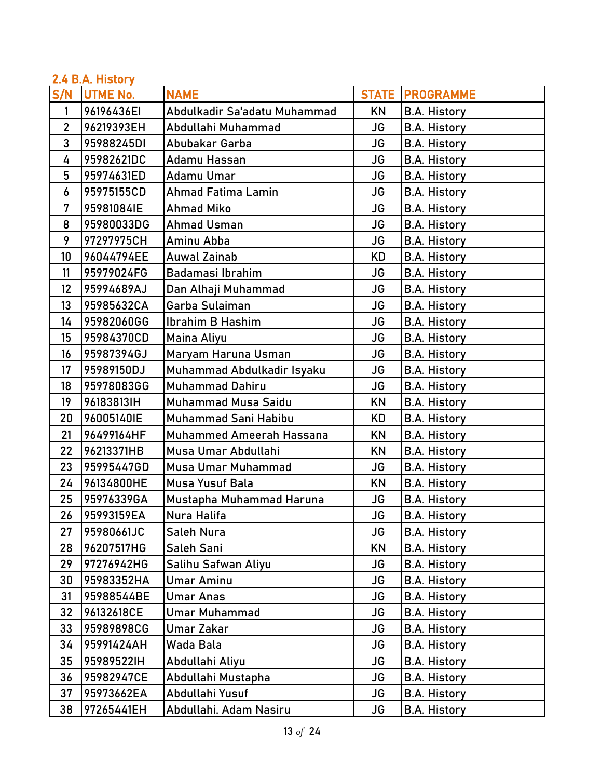| 2.4 B.A. History |                 |                                 |           |                          |  |
|------------------|-----------------|---------------------------------|-----------|--------------------------|--|
| S/N              | <b>UTME No.</b> | <b>NAME</b>                     |           | <b>STATE   PROGRAMME</b> |  |
| 1                | 96196436EI      | Abdulkadir Sa'adatu Muhammad    | ΚN        | <b>B.A. History</b>      |  |
| $\overline{2}$   | 96219393EH      | Abdullahi Muhammad              | JG        | <b>B.A. History</b>      |  |
| $\overline{3}$   | 95988245DI      | Abubakar Garba                  | JG        | <b>B.A. History</b>      |  |
| 4                | 95982621DC      | Adamu Hassan                    | JG        | <b>B.A. History</b>      |  |
| 5                | 95974631ED      | Adamu Umar                      | <b>JG</b> | <b>B.A. History</b>      |  |
| 6                | 95975155CD      | <b>Ahmad Fatima Lamin</b>       | JG        | <b>B.A. History</b>      |  |
| $\overline{7}$   | 95981084IE      | <b>Ahmad Miko</b>               | JG        | <b>B.A. History</b>      |  |
| 8                | 95980033DG      | <b>Ahmad Usman</b>              | JG        | <b>B.A. History</b>      |  |
| 9                | 97297975CH      | Aminu Abba                      | JG        | <b>B.A. History</b>      |  |
| 10               | 96044794EE      | <b>Auwal Zainab</b>             | KD        | <b>B.A. History</b>      |  |
| 11               | 95979024FG      | Badamasi Ibrahim                | JG        | <b>B.A. History</b>      |  |
| 12               | 95994689AJ      | Dan Alhaji Muhammad             | JG        | <b>B.A. History</b>      |  |
| 13               | 95985632CA      | Garba Sulaiman                  | JG        | <b>B.A. History</b>      |  |
| 14               | 95982060GG      | Ibrahim B Hashim                | JG        | <b>B.A. History</b>      |  |
| 15               | 95984370CD      | Maina Aliyu                     | JG        | <b>B.A. History</b>      |  |
| 16               | 95987394GJ      | Maryam Haruna Usman             | <b>JG</b> | <b>B.A. History</b>      |  |
| 17               | 95989150DJ      | Muhammad Abdulkadir Isyaku      | JG        | <b>B.A. History</b>      |  |
| 18               | 95978083GG      | <b>Muhammad Dahiru</b>          | JG        | <b>B.A. History</b>      |  |
| 19               | 96183813IH      | <b>Muhammad Musa Saidu</b>      | KN        | <b>B.A. History</b>      |  |
| 20               | 96005140IE      | Muhammad Sani Habibu            | KD        | <b>B.A. History</b>      |  |
| 21               | 96499164HF      | <b>Muhammed Ameerah Hassana</b> | KN        | <b>B.A. History</b>      |  |
| 22               | 96213371HB      | Musa Umar Abdullahi             | KN        | <b>B.A. History</b>      |  |
| 23               | 95995447GD      | Musa Umar Muhammad              | JG        | <b>B.A. History</b>      |  |
| 24               | 96134800HE      | Musa Yusuf Bala                 | KN        | <b>B.A. History</b>      |  |
| 25               | 95976339GA      | Mustapha Muhammad Haruna        | JG        | <b>B.A. History</b>      |  |
| 26               | 95993159EA      | Nura Halifa                     | JG        | <b>B.A. History</b>      |  |
| 27               | 95980661JC      | Saleh Nura                      | JG        | <b>B.A. History</b>      |  |
| 28               | 96207517HG      | Saleh Sani                      | KN        | <b>B.A. History</b>      |  |
| 29               | 97276942HG      | Salihu Safwan Aliyu             | JG        | <b>B.A. History</b>      |  |
| 30               | 95983352HA      | <b>Umar Aminu</b>               | <b>JG</b> | <b>B.A. History</b>      |  |
| 31               | 95988544BE      | <b>Umar Anas</b>                | JG        | <b>B.A. History</b>      |  |
| 32               | 96132618CE      | <b>Umar Muhammad</b>            | JG        | <b>B.A. History</b>      |  |
| 33               | 95989898CG      | Umar Zakar                      | JG        | <b>B.A. History</b>      |  |
| 34               | 95991424AH      | Wada Bala                       | JG        | <b>B.A. History</b>      |  |
| 35               | 95989522IH      | Abdullahi Aliyu                 | JG        | <b>B.A. History</b>      |  |
| 36               | 95982947CE      | Abdullahi Mustapha              | JG        | <b>B.A. History</b>      |  |
| 37               | 95973662EA      | Abdullahi Yusuf                 | <b>JG</b> | <b>B.A. History</b>      |  |
| 38               | 97265441EH      | Abdullahi. Adam Nasiru          | JG        | <b>B.A. History</b>      |  |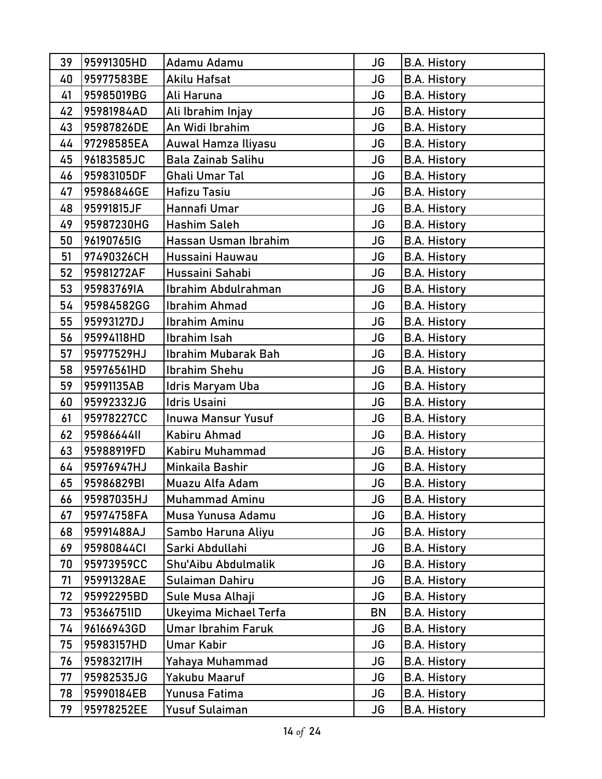| 39 | 95991305HD | Adamu Adamu               | JG        | <b>B.A. History</b> |
|----|------------|---------------------------|-----------|---------------------|
| 40 | 95977583BE | Akilu Hafsat              | <b>JG</b> | <b>B.A. History</b> |
| 41 | 95985019BG | Ali Haruna                | JG        | <b>B.A. History</b> |
| 42 | 95981984AD | Ali Ibrahim Injay         | <b>JG</b> | <b>B.A. History</b> |
| 43 | 95987826DE | An Widi Ibrahim           | <b>JG</b> | <b>B.A. History</b> |
| 44 | 97298585EA | Auwal Hamza Iliyasu       | <b>JG</b> | <b>B.A. History</b> |
| 45 | 96183585JC | <b>Bala Zainab Salihu</b> | JG        | <b>B.A. History</b> |
| 46 | 95983105DF | Ghali Umar Tal            | <b>JG</b> | <b>B.A. History</b> |
| 47 | 95986846GE | Hafizu Tasiu              | <b>JG</b> | <b>B.A. History</b> |
| 48 | 95991815JF | Hannafi Umar              | <b>JG</b> | <b>B.A. History</b> |
| 49 | 95987230HG | Hashim Saleh              | JG        | <b>B.A. History</b> |
| 50 | 96190765IG | Hassan Usman Ibrahim      | <b>JG</b> | <b>B.A. History</b> |
| 51 | 97490326CH | Hussaini Hauwau           | JG        | <b>B.A. History</b> |
| 52 | 95981272AF | Hussaini Sahabi           | <b>JG</b> | <b>B.A. History</b> |
| 53 | 95983769IA | Ibrahim Abdulrahman       | JG        | <b>B.A. History</b> |
| 54 | 95984582GG | <b>Ibrahim Ahmad</b>      | <b>JG</b> | <b>B.A. History</b> |
| 55 | 95993127DJ | Ibrahim Aminu             | <b>JG</b> | <b>B.A. History</b> |
| 56 | 95994118HD | Ibrahim Isah              | <b>JG</b> | <b>B.A. History</b> |
| 57 | 95977529HJ | Ibrahim Mubarak Bah       | <b>JG</b> | <b>B.A. History</b> |
| 58 | 95976561HD | <b>Ibrahim Shehu</b>      | <b>JG</b> | <b>B.A. History</b> |
| 59 | 95991135AB | ldris Maryam Uba          | JG        | <b>B.A. History</b> |
| 60 | 95992332JG | Idris Usaini              | JG        | <b>B.A. History</b> |
| 61 | 95978227CC | <b>Inuwa Mansur Yusuf</b> | <b>JG</b> | <b>B.A. History</b> |
| 62 | 95986644II | Kabiru Ahmad              | <b>JG</b> | <b>B.A. History</b> |
| 63 | 95988919FD | Kabiru Muhammad           | <b>JG</b> | <b>B.A. History</b> |
| 64 | 95976947HJ | Minkaila Bashir           | JG        | <b>B.A. History</b> |
| 65 | 95986829BI | Muazu Alfa Adam           | <b>JG</b> | <b>B.A. History</b> |
| 66 | 95987035HJ | <b>Muhammad Aminu</b>     | JG        | <b>B.A. History</b> |
| 67 | 95974758FA | Musa Yunusa Adamu         | JG        | <b>B.A. History</b> |
| 68 | 95991488AJ | Sambo Haruna Aliyu        | JG        | B.A. History        |
| 69 | 95980844Cl | Sarki Abdullahi           | <b>JG</b> | <b>B.A. History</b> |
| 70 | 95973959CC | Shu'Aibu Abdulmalik       | <b>JG</b> | <b>B.A. History</b> |
| 71 | 95991328AE | Sulaiman Dahiru           | JG        | <b>B.A. History</b> |
| 72 | 95992295BD | Sule Musa Alhaji          | JG        | <b>B.A. History</b> |
| 73 | 95366751ID | Ukeyima Michael Terfa     | <b>BN</b> | <b>B.A. History</b> |
| 74 | 96166943GD | Umar Ibrahim Faruk        | JG        | <b>B.A. History</b> |
| 75 | 95983157HD | Umar Kabir                | <b>JG</b> | <b>B.A. History</b> |
| 76 | 95983217IH | Yahaya Muhammad           | JG        | <b>B.A. History</b> |
| 77 | 95982535JG | Yakubu Maaruf             | <b>JG</b> | <b>B.A. History</b> |
| 78 | 95990184EB | Yunusa Fatima             | JG        | <b>B.A. History</b> |
| 79 | 95978252EE | Yusuf Sulaiman            | JG        | <b>B.A. History</b> |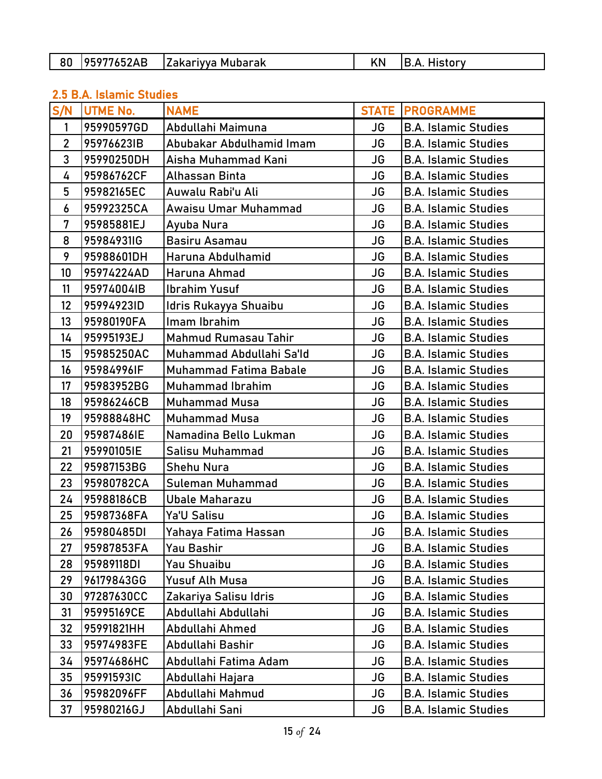| 80<br>. . | . <i>.</i><br>106077/69<br>. A<br>IZAB | 7akarivva<br>ı Mubarak | ۸N | listorv<br>רור |
|-----------|----------------------------------------|------------------------|----|----------------|
|-----------|----------------------------------------|------------------------|----|----------------|

## 2.5 B.A. Islamic Studies

| S/N            | <b>UTME No.</b> | <b>NAME</b>                   |           | <b>STATE PROGRAMME</b>      |
|----------------|-----------------|-------------------------------|-----------|-----------------------------|
| 1              | 95990597GD      | Abdullahi Maimuna             | JG        | <b>B.A. Islamic Studies</b> |
| $\overline{2}$ | 95976623IB      | Abubakar Abdulhamid Imam      | JG        | <b>B.A. Islamic Studies</b> |
| 3              | 95990250DH      | Aisha Muhammad Kani           | <b>JG</b> | <b>B.A. Islamic Studies</b> |
| 4              | 95986762CF      | Alhassan Binta                | <b>JG</b> | <b>B.A. Islamic Studies</b> |
| 5              | 95982165EC      | Auwalu Rabi'u Ali             | <b>JG</b> | <b>B.A. Islamic Studies</b> |
| 6              | 95992325CA      | Awaisu Umar Muhammad          | JG        | <b>B.A. Islamic Studies</b> |
| 7              | 95985881EJ      | Ayuba Nura                    | <b>JG</b> | <b>B.A. Islamic Studies</b> |
| 8              | 95984931IG      | Basiru Asamau                 | <b>JG</b> | <b>B.A. Islamic Studies</b> |
| 9              | 95988601DH      | Haruna Abdulhamid             | <b>JG</b> | <b>B.A. Islamic Studies</b> |
| 10             | 95974224AD      | Haruna Ahmad                  | <b>JG</b> | <b>B.A. Islamic Studies</b> |
| 11             | 95974004IB      | <b>Ibrahim Yusuf</b>          | <b>JG</b> | <b>B.A. Islamic Studies</b> |
| 12             | 95994923ID      | Idris Rukayya Shuaibu         | <b>JG</b> | <b>B.A. Islamic Studies</b> |
| 13             | 95980190FA      | lmam Ibrahim                  | <b>JG</b> | <b>B.A. Islamic Studies</b> |
| 14             | 95995193EJ      | Mahmud Rumasau Tahir          | JG        | <b>B.A. Islamic Studies</b> |
| 15             | 95985250AC      | Muhammad Abdullahi Sa'ld      | <b>JG</b> | <b>B.A. Islamic Studies</b> |
| 16             | 95984996IF      | <b>Muhammad Fatima Babale</b> | <b>JG</b> | <b>B.A. Islamic Studies</b> |
| 17             | 95983952BG      | <b>Muhammad Ibrahim</b>       | <b>JG</b> | <b>B.A. Islamic Studies</b> |
| 18             | 95986246CB      | <b>Muhammad Musa</b>          | <b>JG</b> | <b>B.A. Islamic Studies</b> |
| 19             | 95988848HC      | <b>Muhammad Musa</b>          | <b>JG</b> | <b>B.A. Islamic Studies</b> |
| 20             | 95987486IE      | Namadina Bello Lukman         | JG        | <b>B.A. Islamic Studies</b> |
| 21             | 95990105IE      | Salisu Muhammad               | <b>JG</b> | <b>B.A. Islamic Studies</b> |
| 22             | 95987153BG      | <b>Shehu Nura</b>             | <b>JG</b> | <b>B.A. Islamic Studies</b> |
| 23             | 95980782CA      | Suleman Muhammad              | JG        | <b>B.A. Islamic Studies</b> |
| 24             | 95988186CB      | Ubale Maharazu                | JG        | <b>B.A. Islamic Studies</b> |
| 25             | 95987368FA      | Ya'U Salisu                   | <b>JG</b> | <b>B.A. Islamic Studies</b> |
| 26             | 95980485DI      | Yahaya Fatima Hassan          | <b>JG</b> | <b>B.A. Islamic Studies</b> |
| 27             | 95987853FA      | Yau Bashir                    | JG        | <b>B.A. Islamic Studies</b> |
| 28             | 95989118DI      | Yau Shuaibu                   | JG        | <b>B.A. Islamic Studies</b> |
| 29             | 96179843GG      | Yusuf Alh Musa                | JG        | <b>B.A. Islamic Studies</b> |
| 30             | 97287630CC      | Zakariya Salisu Idris         | JG        | <b>B.A. Islamic Studies</b> |
| 31             | 95995169CE      | Abdullahi Abdullahi           | JG        | <b>B.A. Islamic Studies</b> |
| 32             | 95991821HH      | Abdullahi Ahmed               | JG        | <b>B.A. Islamic Studies</b> |
| 33             | 95974983FE      | Abdullahi Bashir              | JG        | <b>B.A. Islamic Studies</b> |
| 34             | 95974686HC      | Abdullahi Fatima Adam         | JG        | <b>B.A. Islamic Studies</b> |
| 35             | 95991593IC      | Abdullahi Hajara              | JG        | <b>B.A. Islamic Studies</b> |
| 36             | 95982096FF      | Abdullahi Mahmud              | JG        | <b>B.A. Islamic Studies</b> |
| 37             | 95980216GJ      | Abdullahi Sani                | JG        | <b>B.A. Islamic Studies</b> |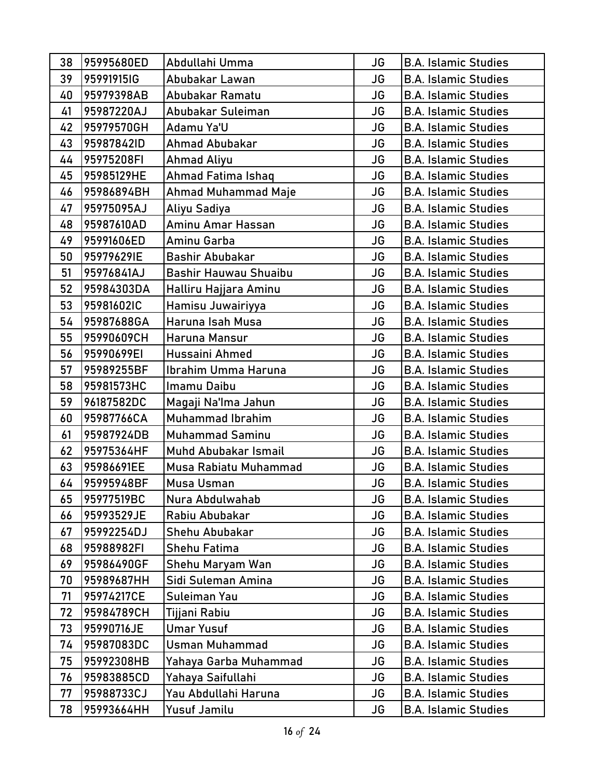| 38 | 95995680ED | Abdullahi Umma          | JG        | <b>B.A. Islamic Studies</b> |
|----|------------|-------------------------|-----------|-----------------------------|
| 39 | 95991915IG | Abubakar Lawan          | JG        | <b>B.A. Islamic Studies</b> |
| 40 | 95979398AB | Abubakar Ramatu         | JG        | <b>B.A. Islamic Studies</b> |
| 41 | 95987220AJ | Abubakar Suleiman       | <b>JG</b> | <b>B.A. Islamic Studies</b> |
| 42 | 95979570GH | Adamu Ya'U              | <b>JG</b> | <b>B.A. Islamic Studies</b> |
| 43 | 95987842ID | Ahmad Abubakar          | <b>JG</b> | <b>B.A. Islamic Studies</b> |
| 44 | 95975208FI | Ahmad Aliyu             | <b>JG</b> | <b>B.A. Islamic Studies</b> |
| 45 | 95985129HE | Ahmad Fatima Ishaq      | JG        | <b>B.A. Islamic Studies</b> |
| 46 | 95986894BH | Ahmad Muhammad Maje     | JG        | <b>B.A. Islamic Studies</b> |
| 47 | 95975095AJ | Aliyu Sadiya            | JG        | <b>B.A. Islamic Studies</b> |
| 48 | 95987610AD | Aminu Amar Hassan       | <b>JG</b> | <b>B.A. Islamic Studies</b> |
| 49 | 95991606ED | Aminu Garba             | <b>JG</b> | <b>B.A. Islamic Studies</b> |
| 50 | 95979629IE | <b>Bashir Abubakar</b>  | JG        | <b>B.A. Islamic Studies</b> |
| 51 | 95976841AJ | Bashir Hauwau Shuaibu   | JG        | <b>B.A. Islamic Studies</b> |
| 52 | 95984303DA | Halliru Hajjara Aminu   | <b>JG</b> | <b>B.A. Islamic Studies</b> |
| 53 | 95981602IC | Hamisu Juwairiyya       | JG        | <b>B.A. Islamic Studies</b> |
| 54 | 95987688GA | Haruna Isah Musa        | JG        | <b>B.A. Islamic Studies</b> |
| 55 | 95990609CH | Haruna Mansur           | JG        | <b>B.A. Islamic Studies</b> |
| 56 | 95990699EI | Hussaini Ahmed          | <b>JG</b> | <b>B.A. Islamic Studies</b> |
| 57 | 95989255BF | Ibrahim Umma Haruna     | <b>JG</b> | <b>B.A. Islamic Studies</b> |
| 58 | 95981573HC | Imamu Daibu             | JG        | <b>B.A. Islamic Studies</b> |
| 59 | 96187582DC | Magaji Na'lma Jahun     | JG        | <b>B.A. Islamic Studies</b> |
| 60 | 95987766CA | <b>Muhammad Ibrahim</b> | <b>JG</b> | <b>B.A. Islamic Studies</b> |
| 61 | 95987924DB | <b>Muhammad Saminu</b>  | JG        | <b>B.A. Islamic Studies</b> |
| 62 | 95975364HF | Muhd Abubakar Ismail    | <b>JG</b> | <b>B.A. Islamic Studies</b> |
| 63 | 95986691EE | Musa Rabiatu Muhammad   | JG        | <b>B.A. Islamic Studies</b> |
| 64 | 95995948BF | Musa Usman              | <b>JG</b> | <b>B.A. Islamic Studies</b> |
| 65 | 95977519BC | Nura Abdulwahab         | JG        | <b>B.A. Islamic Studies</b> |
| 66 | 95993529JE | Rabiu Abubakar          | JG        | <b>B.A. Islamic Studies</b> |
| 67 | 95992254DJ | Shehu Abubakar          | JG        | <b>B.A. Islamic Studies</b> |
| 68 | 95988982FI | Shehu Fatima            | JG        | <b>B.A. Islamic Studies</b> |
| 69 | 95986490GF | Shehu Maryam Wan        | JG        | <b>B.A. Islamic Studies</b> |
| 70 | 95989687HH | Sidi Suleman Amina      | JG        | <b>B.A. Islamic Studies</b> |
| 71 | 95974217CE | Suleiman Yau            | JG        | <b>B.A. Islamic Studies</b> |
| 72 | 95984789CH | Tijjani Rabiu           | JG        | <b>B.A. Islamic Studies</b> |
| 73 | 95990716JE | <b>Umar Yusuf</b>       | JG        | <b>B.A. Islamic Studies</b> |
| 74 | 95987083DC | Usman Muhammad          | JG        | <b>B.A. Islamic Studies</b> |
| 75 | 95992308HB | Yahaya Garba Muhammad   | JG        | <b>B.A. Islamic Studies</b> |
| 76 | 95983885CD | Yahaya Saifullahi       | JG        | <b>B.A. Islamic Studies</b> |
| 77 | 95988733CJ | Yau Abdullahi Haruna    | JG        | <b>B.A. Islamic Studies</b> |
| 78 | 95993664HH | Yusuf Jamilu            | JG        | <b>B.A. Islamic Studies</b> |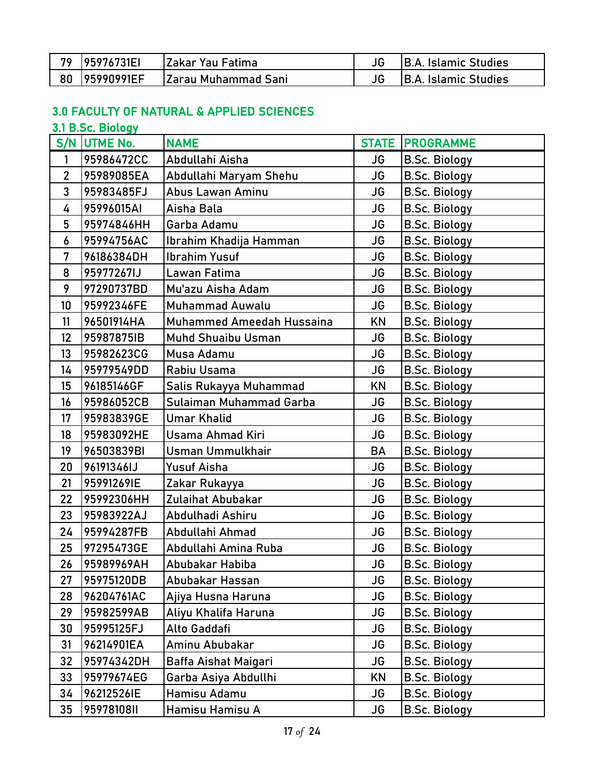| 79 | 195976731EI   | IZakar Yau Fatima    | <b>IB.A. Islamic Studies</b> |
|----|---------------|----------------------|------------------------------|
|    | 80 95990991EF | lZarau Muhammad Sani | <b>IB.A. Islamic Studies</b> |

### 3.0 FACULTY OF NATURAL & APPLIED SCIENCES

### 3.1 B.Sc. Biology

|                | S/N UTME No. | <b>NAME</b>               |           | <b>STATE PROGRAMME</b> |
|----------------|--------------|---------------------------|-----------|------------------------|
| 1              | 95986472CC   | Abdullahi Aisha           | JG        | <b>B.Sc. Biology</b>   |
| $\overline{2}$ | 95989085EA   | Abdullahi Maryam Shehu    | JG        | <b>B.Sc. Biology</b>   |
| 3              | 95983485FJ   | Abus Lawan Aminu          | JG        | <b>B.Sc. Biology</b>   |
| 4              | 95996015AI   | Aisha Bala                | <b>JG</b> | <b>B.Sc. Biology</b>   |
| 5              | 95974846HH   | Garba Adamu               | <b>JG</b> | <b>B.Sc. Biology</b>   |
| 6              | 95994756AC   | Ibrahim Khadija Hamman    | <b>JG</b> | <b>B.Sc. Biology</b>   |
| 7              | 96186384DH   | <b>Ibrahim Yusuf</b>      | JG        | <b>B.Sc. Biology</b>   |
| 8              | 95977267IJ   | Lawan Fatima              | <b>JG</b> | <b>B.Sc. Biology</b>   |
| 9              | 97290737BD   | Mu'azu Aisha Adam         | JG        | <b>B.Sc. Biology</b>   |
| 10             | 95992346FE   | <b>Muhammad Auwalu</b>    | JG        | <b>B.Sc. Biology</b>   |
| 11             | 96501914HA   | Muhammed Ameedah Hussaina | KN        | <b>B.Sc. Biology</b>   |
| 12             | 95987875IB   | Muhd Shuaibu Usman        | <b>JG</b> | <b>B.Sc. Biology</b>   |
| 13             | 95982623CG   | Musa Adamu                | JG        | <b>B.Sc. Biology</b>   |
| 14             | 95979549DD   | Rabiu Usama               | JG        | <b>B.Sc. Biology</b>   |
| 15             | 96185146GF   | Salis Rukayya Muhammad    | KN        | <b>B.Sc. Biology</b>   |
| 16             | 95986052CB   | Sulaiman Muhammad Garba   | <b>JG</b> | <b>B.Sc. Biology</b>   |
| 17             | 95983839GE   | <b>Umar Khalid</b>        | JG        | <b>B.Sc. Biology</b>   |
| 18             | 95983092HE   | Usama Ahmad Kiri          | JG        | <b>B.Sc. Biology</b>   |
| 19             | 96503839BI   | <b>Usman Ummulkhair</b>   | <b>BA</b> | <b>B.Sc. Biology</b>   |
| 20             | 96191346IJ   | Yusuf Aisha               | JG        | <b>B.Sc. Biology</b>   |
| 21             | 95991269IE   | Zakar Rukayya             | JG        | <b>B.Sc. Biology</b>   |
| 22             | 95992306HH   | Zulaihat Abubakar         | JG        | <b>B.Sc. Biology</b>   |
| 23             | 95983922AJ   | Abdulhadi Ashiru          | <b>JG</b> | <b>B.Sc. Biology</b>   |
| 24             | 95994287FB   | Abdullahi Ahmad           | <b>JG</b> | <b>B.Sc. Biology</b>   |
| 25             | 97295473GE   | Abdullahi Amina Ruba      | JG        | <b>B.Sc. Biology</b>   |
| 26             | 95989969AH   | Abubakar Habiba           | <b>JG</b> | <b>B.Sc. Biology</b>   |
| 27             | 95975120DB   | Abubakar Hassan           | JG        | <b>B.Sc. Biology</b>   |
| 28             | 96204761AC   | Ajiya Husna Haruna        | JG        | <b>B.Sc. Biology</b>   |
| 29             | 95982599AB   | Aliyu Khalifa Haruna      | JG        | <b>B.Sc. Biology</b>   |
| 30             | 95995125FJ   | Alto Gaddafi              | JG        | <b>B.Sc. Biology</b>   |
| 31             | 96214901EA   | Aminu Abubakar            | <b>JG</b> | <b>B.Sc. Biology</b>   |
| 32             | 95974342DH   | Baffa Aishat Maigari      | JG        | <b>B.Sc. Biology</b>   |
| 33             | 95979674EG   | Garba Asiya Abdullhi      | KN        | <b>B.Sc. Biology</b>   |
| 34             | 96212526IE   | Hamisu Adamu              | JG        | <b>B.Sc. Biology</b>   |
| 35             | 95978108II   | Hamisu Hamisu A           | JG        | <b>B.Sc. Biology</b>   |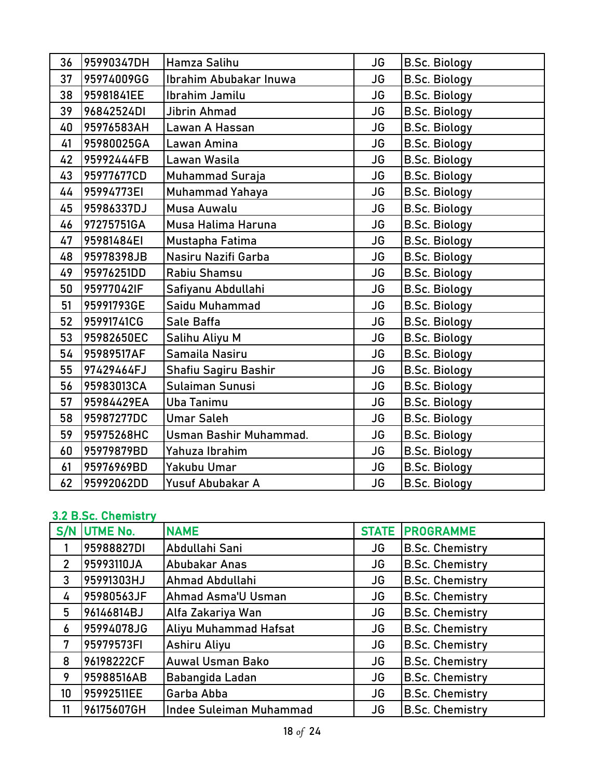| 36 | 95990347DH | Hamza Salihu           | <b>JG</b> | <b>B.Sc. Biology</b> |
|----|------------|------------------------|-----------|----------------------|
| 37 | 95974009GG | Ibrahim Abubakar Inuwa | <b>JG</b> | <b>B.Sc. Biology</b> |
| 38 | 95981841EE | Ibrahim Jamilu         | <b>JG</b> | <b>B.Sc. Biology</b> |
| 39 | 96842524DI | Jibrin Ahmad           | JG        | <b>B.Sc. Biology</b> |
| 40 | 95976583AH | Lawan A Hassan         | <b>JG</b> | <b>B.Sc. Biology</b> |
| 41 | 95980025GA | Lawan Amina            | JG        | <b>B.Sc. Biology</b> |
| 42 | 95992444FB | Lawan Wasila           | JG        | <b>B.Sc. Biology</b> |
| 43 | 95977677CD | Muhammad Suraja        | JG        | <b>B.Sc. Biology</b> |
| 44 | 95994773EI | Muhammad Yahaya        | <b>JG</b> | <b>B.Sc. Biology</b> |
| 45 | 95986337DJ | Musa Auwalu            | <b>JG</b> | <b>B.Sc. Biology</b> |
| 46 | 97275751GA | Musa Halima Haruna     | <b>JG</b> | <b>B.Sc. Biology</b> |
| 47 | 95981484EI | Mustapha Fatima        | JG        | <b>B.Sc. Biology</b> |
| 48 | 95978398JB | Nasiru Nazifi Garba    | <b>JG</b> | <b>B.Sc. Biology</b> |
| 49 | 95976251DD | Rabiu Shamsu           | <b>JG</b> | <b>B.Sc. Biology</b> |
| 50 | 95977042IF | Safiyanu Abdullahi     | JG        | <b>B.Sc. Biology</b> |
| 51 | 95991793GE | Saidu Muhammad         | <b>JG</b> | <b>B.Sc. Biology</b> |
| 52 | 95991741CG | Sale Baffa             | JG        | <b>B.Sc. Biology</b> |
| 53 | 95982650EC | Salihu Aliyu M         | <b>JG</b> | <b>B.Sc. Biology</b> |
| 54 | 95989517AF | Samaila Nasiru         | <b>JG</b> | <b>B.Sc. Biology</b> |
| 55 | 97429464FJ | Shafiu Sagiru Bashir   | <b>JG</b> | <b>B.Sc. Biology</b> |
| 56 | 95983013CA | Sulaiman Sunusi        | JG        | <b>B.Sc. Biology</b> |
| 57 | 95984429EA | <b>Uba Tanimu</b>      | <b>JG</b> | <b>B.Sc. Biology</b> |
| 58 | 95987277DC | <b>Umar Saleh</b>      | JG        | <b>B.Sc. Biology</b> |
| 59 | 95975268HC | Usman Bashir Muhammad. | JG        | <b>B.Sc. Biology</b> |
| 60 | 95979879BD | Yahuza Ibrahim         | JG        | <b>B.Sc. Biology</b> |
| 61 | 95976969BD | Yakubu Umar            | <b>JG</b> | <b>B.Sc. Biology</b> |
| 62 | 95992062DD | Yusuf Abubakar A       | <b>JG</b> | <b>B.Sc. Biology</b> |

### 3.2 B.Sc. Chemistry

| S/N             | UTME No.   | <b>NAME</b>             | <b>STATE</b> | <b>PROGRAMME</b>       |
|-----------------|------------|-------------------------|--------------|------------------------|
|                 | 95988827DI | Abdullahi Sani          | JG           | <b>B.Sc. Chemistry</b> |
| $\overline{2}$  | 95993110JA | Abubakar Anas           | JG           | <b>B.Sc. Chemistry</b> |
| 3               | 95991303HJ | Ahmad Abdullahi         | JG           | <b>B.Sc. Chemistry</b> |
| 4               | 95980563JF | Ahmad Asma'U Usman      | JG           | <b>B.Sc. Chemistry</b> |
| 5               | 96146814BJ | Alfa Zakariya Wan       | JG           | <b>B.Sc. Chemistry</b> |
| 6               | 95994078JG | Aliyu Muhammad Hafsat   | JG           | <b>B.Sc. Chemistry</b> |
| 7               | 95979573FI | Ashiru Aliyu            | JG           | <b>B.Sc. Chemistry</b> |
| 8               | 96198222CF | <b>Auwal Usman Bako</b> | JG           | <b>B.Sc. Chemistry</b> |
| 9               | 95988516AB | Babangida Ladan         | JG           | <b>B.Sc. Chemistry</b> |
| 10 <sup>°</sup> | 95992511EE | Garba Abba              | <b>JG</b>    | <b>B.Sc. Chemistry</b> |
| 11              | 96175607GH | Indee Suleiman Muhammad | JG           | <b>B.Sc. Chemistry</b> |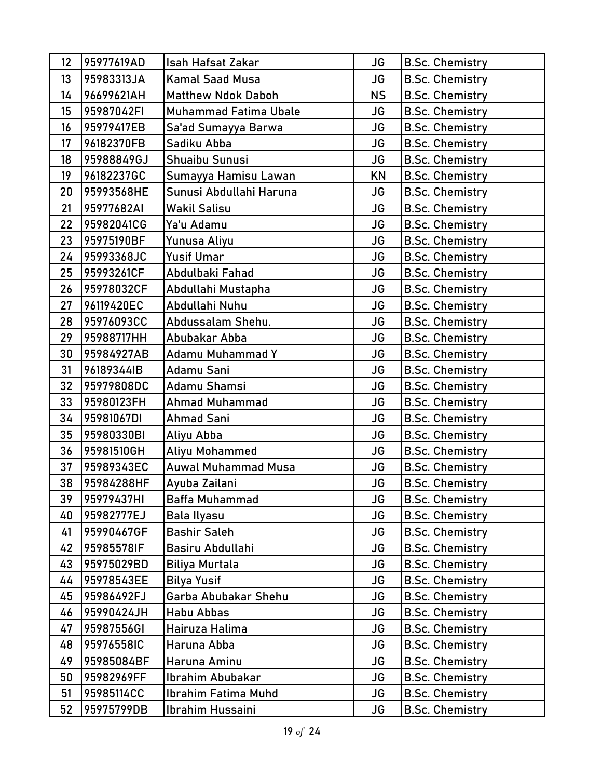| 12 | 95977619AD | <b>Isah Hafsat Zakar</b>     | <b>JG</b> | <b>B.Sc. Chemistry</b> |
|----|------------|------------------------------|-----------|------------------------|
| 13 | 95983313JA | <b>Kamal Saad Musa</b>       | JG        | <b>B.Sc. Chemistry</b> |
| 14 | 96699621AH | <b>Matthew Ndok Daboh</b>    | <b>NS</b> | <b>B.Sc. Chemistry</b> |
| 15 | 95987042FI | <b>Muhammad Fatima Ubale</b> | <b>JG</b> | <b>B.Sc. Chemistry</b> |
| 16 | 95979417EB | Sa'ad Sumayya Barwa          | <b>JG</b> | <b>B.Sc. Chemistry</b> |
| 17 | 96182370FB | Sadiku Abba                  | <b>JG</b> | <b>B.Sc. Chemistry</b> |
| 18 | 95988849GJ | Shuaibu Sunusi               | <b>JG</b> | <b>B.Sc. Chemistry</b> |
| 19 | 96182237GC | Sumayya Hamisu Lawan         | KN        | <b>B.Sc. Chemistry</b> |
| 20 | 95993568HE | Sunusi Abdullahi Haruna      | JG        | <b>B.Sc. Chemistry</b> |
| 21 | 95977682AI | Wakil Salisu                 | JG        | <b>B.Sc. Chemistry</b> |
| 22 | 95982041CG | Ya'u Adamu                   | <b>JG</b> | <b>B.Sc. Chemistry</b> |
| 23 | 95975190BF | Yunusa Aliyu                 | <b>JG</b> | <b>B.Sc. Chemistry</b> |
| 24 | 95993368JC | <b>Yusif Umar</b>            | <b>JG</b> | <b>B.Sc. Chemistry</b> |
| 25 | 95993261CF | Abdulbaki Fahad              | JG        | <b>B.Sc. Chemistry</b> |
| 26 | 95978032CF | Abdullahi Mustapha           | <b>JG</b> | <b>B.Sc. Chemistry</b> |
| 27 | 96119420EC | Abdullahi Nuhu               | JG        | <b>B.Sc. Chemistry</b> |
| 28 | 95976093CC | Abdussalam Shehu.            | JG        | <b>B.Sc. Chemistry</b> |
| 29 | 95988717HH | Abubakar Abba                | JG        | <b>B.Sc. Chemistry</b> |
| 30 | 95984927AB | Adamu Muhammad Y             | <b>JG</b> | <b>B.Sc. Chemistry</b> |
| 31 | 96189344IB | Adamu Sani                   | <b>JG</b> | <b>B.Sc. Chemistry</b> |
| 32 | 95979808DC | Adamu Shamsi                 | <b>JG</b> | <b>B.Sc. Chemistry</b> |
| 33 | 95980123FH | Ahmad Muhammad               | <b>JG</b> | <b>B.Sc. Chemistry</b> |
| 34 | 95981067DI | <b>Ahmad Sani</b>            | <b>JG</b> | <b>B.Sc. Chemistry</b> |
| 35 | 95980330BI | Aliyu Abba                   | <b>JG</b> | <b>B.Sc. Chemistry</b> |
| 36 | 95981510GH | Aliyu Mohammed               | <b>JG</b> | <b>B.Sc. Chemistry</b> |
| 37 | 95989343EC | <b>Auwal Muhammad Musa</b>   | JG        | <b>B.Sc. Chemistry</b> |
| 38 | 95984288HF | Ayuba Zailani                | <b>JG</b> | <b>B.Sc. Chemistry</b> |
| 39 | 95979437HI | Baffa Muhammad               | JG        | <b>B.Sc. Chemistry</b> |
| 40 | 95982777EJ | Bala Ilyasu                  | JG        | <b>B.Sc. Chemistry</b> |
| 41 | 95990467GF | <b>Bashir Saleh</b>          | JG        | <b>B.Sc. Chemistry</b> |
| 42 | 95985578IF | Basiru Abdullahi             | JG        | <b>B.Sc. Chemistry</b> |
| 43 | 95975029BD | <b>Biliya Murtala</b>        | JG        | <b>B.Sc. Chemistry</b> |
| 44 | 95978543EE | <b>Bilya Yusif</b>           | JG        | <b>B.Sc. Chemistry</b> |
| 45 | 95986492FJ | Garba Abubakar Shehu         | JG        | <b>B.Sc. Chemistry</b> |
| 46 | 95990424JH | <b>Habu Abbas</b>            | <b>JG</b> | <b>B.Sc. Chemistry</b> |
| 47 | 95987556GI | Hairuza Halima               | JG        | <b>B.Sc. Chemistry</b> |
| 48 | 95976558IC | Haruna Abba                  | JG        | <b>B.Sc. Chemistry</b> |
| 49 | 95985084BF | Haruna Aminu                 | JG        | <b>B.Sc. Chemistry</b> |
| 50 | 95982969FF | Ibrahim Abubakar             | JG        | <b>B.Sc. Chemistry</b> |
| 51 | 95985114CC | Ibrahim Fatima Muhd          | JG        | <b>B.Sc. Chemistry</b> |
| 52 | 95975799DB | Ibrahim Hussaini             | JG        | <b>B.Sc. Chemistry</b> |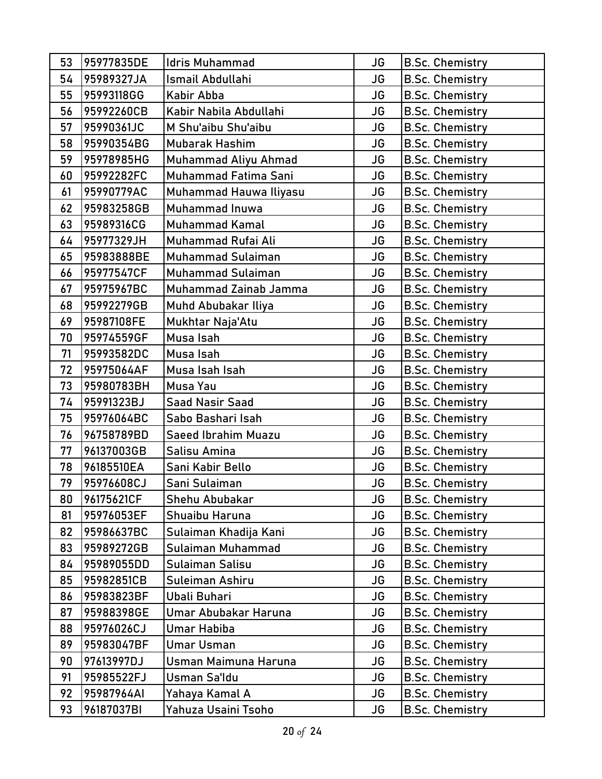| 53 | 95977835DE | Idris Muhammad           | JG        | <b>B.Sc. Chemistry</b> |
|----|------------|--------------------------|-----------|------------------------|
| 54 | 95989327JA | Ismail Abdullahi         | JG        | <b>B.Sc. Chemistry</b> |
| 55 | 95993118GG | Kabir Abba               | JG        | <b>B.Sc. Chemistry</b> |
| 56 | 95992260CB | Kabir Nabila Abdullahi   | <b>JG</b> | <b>B.Sc. Chemistry</b> |
| 57 | 95990361JC | M Shu'aibu Shu'aibu      | JG        | <b>B.Sc. Chemistry</b> |
| 58 | 95990354BG | <b>Mubarak Hashim</b>    | <b>JG</b> | <b>B.Sc. Chemistry</b> |
| 59 | 95978985HG | Muhammad Aliyu Ahmad     | JG        | <b>B.Sc. Chemistry</b> |
| 60 | 95992282FC | Muhammad Fatima Sani     | <b>JG</b> | <b>B.Sc. Chemistry</b> |
| 61 | 95990779AC | Muhammad Hauwa Iliyasu   | JG        | <b>B.Sc. Chemistry</b> |
| 62 | 95983258GB | Muhammad Inuwa           | <b>JG</b> | <b>B.Sc. Chemistry</b> |
| 63 | 95989316CG | Muhammad Kamal           | JG        | <b>B.Sc. Chemistry</b> |
| 64 | 95977329JH | Muhammad Rufai Ali       | <b>JG</b> | <b>B.Sc. Chemistry</b> |
| 65 | 95983888BE | <b>Muhammad Sulaiman</b> | JG        | <b>B.Sc. Chemistry</b> |
| 66 | 95977547CF | <b>Muhammad Sulaiman</b> | JG        | <b>B.Sc. Chemistry</b> |
| 67 | 95975967BC | Muhammad Zainab Jamma    | JG        | <b>B.Sc. Chemistry</b> |
| 68 | 95992279GB | Muhd Abubakar Iliya      | <b>JG</b> | <b>B.Sc. Chemistry</b> |
| 69 | 95987108FE | Mukhtar Naja'Atu         | JG        | <b>B.Sc. Chemistry</b> |
| 70 | 95974559GF | Musa Isah                | JG        | <b>B.Sc. Chemistry</b> |
| 71 | 95993582DC | Musa Isah                | JG        | <b>B.Sc. Chemistry</b> |
| 72 | 95975064AF | Musa Isah Isah           | <b>JG</b> | <b>B.Sc. Chemistry</b> |
| 73 | 95980783BH | Musa Yau                 | JG        | <b>B.Sc. Chemistry</b> |
| 74 | 95991323BJ | <b>Saad Nasir Saad</b>   | JG        | <b>B.Sc. Chemistry</b> |
| 75 | 95976064BC | Sabo Bashari Isah        | <b>JG</b> | <b>B.Sc. Chemistry</b> |
| 76 | 96758789BD | Saeed Ibrahim Muazu      | <b>JG</b> | <b>B.Sc. Chemistry</b> |
| 77 | 96137003GB | Salisu Amina             | JG        | <b>B.Sc. Chemistry</b> |
| 78 | 96185510EA | Sani Kabir Bello         | JG        | <b>B.Sc. Chemistry</b> |
| 79 | 95976608CJ | Sani Sulaiman            | <b>JG</b> | <b>B.Sc. Chemistry</b> |
| 80 | 96175621CF | Shehu Abubakar           | JG        | <b>B.Sc. Chemistry</b> |
| 81 | 95976053EF | Shuaibu Haruna           | JG        | <b>B.Sc. Chemistry</b> |
| 82 | 95986637BC | Sulaiman Khadija Kani    | JG        | <b>B.Sc. Chemistry</b> |
| 83 | 95989272GB | Sulaiman Muhammad        | JG        | <b>B.Sc. Chemistry</b> |
| 84 | 95989055DD | Sulaiman Salisu          | JG        | <b>B.Sc. Chemistry</b> |
| 85 | 95982851CB | Suleiman Ashiru          | JG        | <b>B.Sc. Chemistry</b> |
| 86 | 95983823BF | Ubali Buhari             | JG        | <b>B.Sc. Chemistry</b> |
| 87 | 95988398GE | Umar Abubakar Haruna     | JG        | <b>B.Sc. Chemistry</b> |
| 88 | 95976026CJ | <b>Umar Habiba</b>       | JG        | <b>B.Sc. Chemistry</b> |
| 89 | 95983047BF | Umar Usman               | JG        | <b>B.Sc. Chemistry</b> |
| 90 | 97613997DJ | Usman Maimuna Haruna     | JG        | <b>B.Sc. Chemistry</b> |
| 91 | 95985522FJ | Usman Sa'ldu             | JG        | <b>B.Sc. Chemistry</b> |
| 92 | 95987964AI | Yahaya Kamal A           | JG        | <b>B.Sc. Chemistry</b> |
| 93 | 96187037BI | Yahuza Usaini Tsoho      | JG        | <b>B.Sc. Chemistry</b> |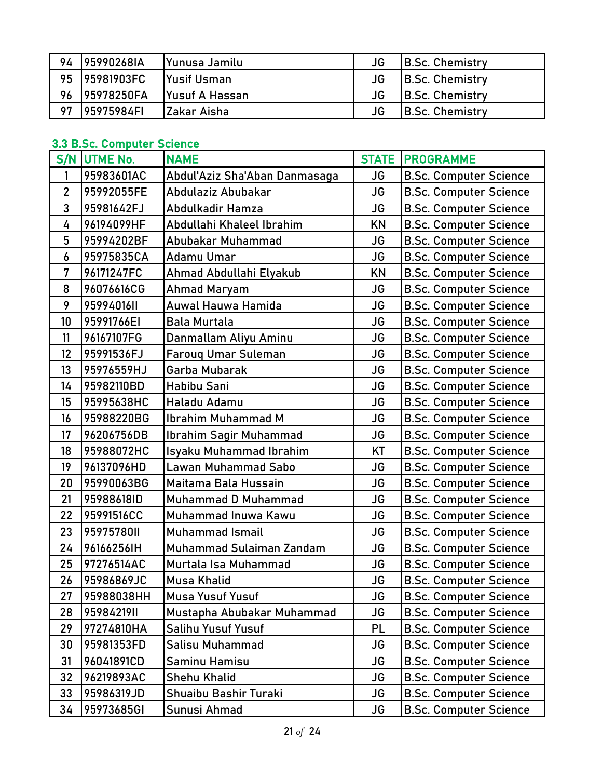| 94 | 195990268IA | Yunusa Jamilu          | JG | <b>B.Sc. Chemistry</b> |
|----|-------------|------------------------|----|------------------------|
| 95 | 195981903FC | <b>Yusif Usman</b>     | JG | <b>B.Sc. Chemistry</b> |
| 96 | 195978250FA | <b>IYusuf A Hassan</b> | JG | B.Sc. Chemistry        |
| 97 | 195975984FI | IZakar Aisha           | JG | B.Sc. Chemistry        |

### 3.3 B.Sc. Computer Science

|                | o.o p.oc. compater ocience<br>S/N UTME No. | <b>NAME</b>                   | <b>STATE</b> | <b>PROGRAMME</b>              |
|----------------|--------------------------------------------|-------------------------------|--------------|-------------------------------|
| 1              | 95983601AC                                 | Abdul'Aziz Sha'Aban Danmasaga | JG           | <b>B.Sc. Computer Science</b> |
| $\overline{2}$ | 95992055FE                                 | Abdulaziz Abubakar            | <b>JG</b>    | <b>B.Sc. Computer Science</b> |
| 3              | 95981642FJ                                 | Abdulkadir Hamza              | <b>JG</b>    | <b>B.Sc. Computer Science</b> |
| 4              | 96194099HF                                 | Abdullahi Khaleel Ibrahim     | <b>KN</b>    | <b>B.Sc. Computer Science</b> |
| 5              | 95994202BF                                 | Abubakar Muhammad             | <b>JG</b>    | <b>B.Sc. Computer Science</b> |
| 6              | 95975835CA                                 | <b>Adamu Umar</b>             | <b>JG</b>    | <b>B.Sc. Computer Science</b> |
| 7              | 96171247FC                                 | Ahmad Abdullahi Elyakub       | <b>KN</b>    | <b>B.Sc. Computer Science</b> |
| 8              | 96076616CG                                 | <b>Ahmad Maryam</b>           | <b>JG</b>    | <b>B.Sc. Computer Science</b> |
| 9              | 95994016II                                 | Auwal Hauwa Hamida            | <b>JG</b>    | <b>B.Sc. Computer Science</b> |
| 10             | 95991766EI                                 | <b>Bala Murtala</b>           | <b>JG</b>    | <b>B.Sc. Computer Science</b> |
| 11             | 96167107FG                                 | Danmallam Aliyu Aminu         | <b>JG</b>    | <b>B.Sc. Computer Science</b> |
| 12             | 95991536FJ                                 | <b>Farouq Umar Suleman</b>    | <b>JG</b>    | <b>B.Sc. Computer Science</b> |
| 13             | 95976559HJ                                 | Garba Mubarak                 | <b>JG</b>    | <b>B.Sc. Computer Science</b> |
| 14             | 95982110BD                                 | Habibu Sani                   | <b>JG</b>    | <b>B.Sc. Computer Science</b> |
| 15             | 95995638HC                                 | Haladu Adamu                  | <b>JG</b>    | <b>B.Sc. Computer Science</b> |
| 16             | 95988220BG                                 | <b>Ibrahim Muhammad M</b>     | <b>JG</b>    | <b>B.Sc. Computer Science</b> |
| 17             | 96206756DB                                 | Ibrahim Sagir Muhammad        | <b>JG</b>    | <b>B.Sc. Computer Science</b> |
| 18             | 95988072HC                                 | Isyaku Muhammad Ibrahim       | KT           | <b>B.Sc. Computer Science</b> |
| 19             | 96137096HD                                 | <b>Lawan Muhammad Sabo</b>    | JG           | <b>B.Sc. Computer Science</b> |
| 20             | 95990063BG                                 | Maitama Bala Hussain          | <b>JG</b>    | <b>B.Sc. Computer Science</b> |
| 21             | 95988618ID                                 | Muhammad D Muhammad           | <b>JG</b>    | <b>B.Sc. Computer Science</b> |
| 22             | 95991516CC                                 | Muhammad Inuwa Kawu           | JG           | <b>B.Sc. Computer Science</b> |
| 23             | 95975780II                                 | <b>Muhammad Ismail</b>        | <b>JG</b>    | <b>B.Sc. Computer Science</b> |
| 24             | 96166256IH                                 | Muhammad Sulaiman Zandam      | <b>JG</b>    | <b>B.Sc. Computer Science</b> |
| 25             | 97276514AC                                 | Murtala Isa Muhammad          | <b>JG</b>    | <b>B.Sc. Computer Science</b> |
| 26             | 95986869JC                                 | <b>Musa Khalid</b>            | <b>JG</b>    | <b>B.Sc. Computer Science</b> |
| 27             | 95988038HH                                 | <b>Musa Yusuf Yusuf</b>       | JG           | <b>B.Sc. Computer Science</b> |
| 28             | 9598421911                                 | Mustapha Abubakar Muhammad    | <b>JG</b>    | <b>B.Sc. Computer Science</b> |
| 29             | 97274810HA                                 | Salihu Yusuf Yusuf            | <b>PL</b>    | <b>B.Sc. Computer Science</b> |
| 30             | 95981353FD                                 | Salisu Muhammad               | JG           | <b>B.Sc. Computer Science</b> |
| 31             | 96041891CD                                 | <b>Saminu Hamisu</b>          | <b>JG</b>    | <b>B.Sc. Computer Science</b> |
| 32             | 96219893AC                                 | <b>Shehu Khalid</b>           | <b>JG</b>    | <b>B.Sc. Computer Science</b> |
| 33             | 95986319JD                                 | Shuaibu Bashir Turaki         | <b>JG</b>    | <b>B.Sc. Computer Science</b> |
| 34             | 95973685GI                                 | Sunusi Ahmad                  | JG           | <b>B.Sc. Computer Science</b> |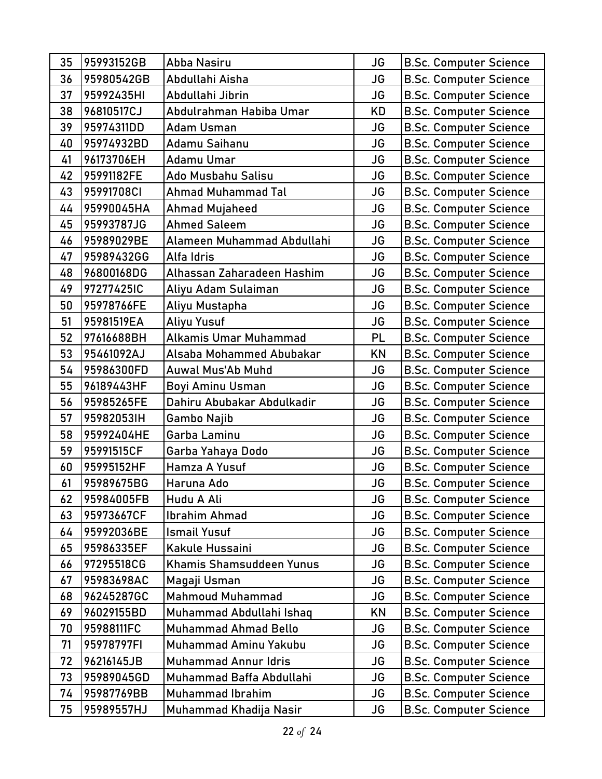| 35 | 95993152GB | Abba Nasiru                 | JG        | <b>B.Sc. Computer Science</b> |
|----|------------|-----------------------------|-----------|-------------------------------|
| 36 | 95980542GB | Abdullahi Aisha             | JG        | <b>B.Sc. Computer Science</b> |
| 37 | 95992435HI | Abdullahi Jibrin            | JG        | <b>B.Sc. Computer Science</b> |
| 38 | 96810517CJ | Abdulrahman Habiba Umar     | <b>KD</b> | <b>B.Sc. Computer Science</b> |
| 39 | 95974311DD | <b>Adam Usman</b>           | JG        | <b>B.Sc. Computer Science</b> |
| 40 | 95974932BD | Adamu Saihanu               | JG        | <b>B.Sc. Computer Science</b> |
| 41 | 96173706EH | <b>Adamu Umar</b>           | JG        | <b>B.Sc. Computer Science</b> |
| 42 | 95991182FE | Ado Musbahu Salisu          | <b>JG</b> | <b>B.Sc. Computer Science</b> |
| 43 | 95991708CI | <b>Ahmad Muhammad Tal</b>   | <b>JG</b> | <b>B.Sc. Computer Science</b> |
| 44 | 95990045HA | Ahmad Mujaheed              | JG        | <b>B.Sc. Computer Science</b> |
| 45 | 95993787JG | <b>Ahmed Saleem</b>         | JG        | <b>B.Sc. Computer Science</b> |
| 46 | 95989029BE | Alameen Muhammad Abdullahi  | <b>JG</b> | <b>B.Sc. Computer Science</b> |
| 47 | 95989432GG | Alfa Idris                  | JG        | <b>B.Sc. Computer Science</b> |
| 48 | 96800168DG | Alhassan Zaharadeen Hashim  | JG        | <b>B.Sc. Computer Science</b> |
| 49 | 97277425IC | Aliyu Adam Sulaiman         | JG        | <b>B.Sc. Computer Science</b> |
| 50 | 95978766FE | Aliyu Mustapha              | <b>JG</b> | <b>B.Sc. Computer Science</b> |
| 51 | 95981519EA | <b>Aliyu Yusuf</b>          | <b>JG</b> | <b>B.Sc. Computer Science</b> |
| 52 | 97616688BH | Alkamis Umar Muhammad       | PL        | <b>B.Sc. Computer Science</b> |
| 53 | 95461092AJ | Alsaba Mohammed Abubakar    | <b>KN</b> | <b>B.Sc. Computer Science</b> |
| 54 | 95986300FD | Auwal Mus'Ab Muhd           | <b>JG</b> | <b>B.Sc. Computer Science</b> |
| 55 | 96189443HF | <b>Boyi Aminu Usman</b>     | JG        | <b>B.Sc. Computer Science</b> |
| 56 | 95985265FE | Dahiru Abubakar Abdulkadir  | JG        | <b>B.Sc. Computer Science</b> |
| 57 | 95982053IH | Gambo Najib                 | <b>JG</b> | <b>B.Sc. Computer Science</b> |
| 58 | 95992404HE | Garba Laminu                | JG        | <b>B.Sc. Computer Science</b> |
| 59 | 95991515CF | Garba Yahaya Dodo           | JG        | <b>B.Sc. Computer Science</b> |
| 60 | 95995152HF | Hamza A Yusuf               | JG        | <b>B.Sc. Computer Science</b> |
| 61 | 95989675BG | Haruna Ado                  | <b>JG</b> | <b>B.Sc. Computer Science</b> |
| 62 | 95984005FB | Hudu A Ali                  | JG        | <b>B.Sc. Computer Science</b> |
| 63 | 95973667CF | Ibrahim Ahmad               | JG        | <b>B.Sc. Computer Science</b> |
| 64 | 95992036BE | <b>Ismail Yusuf</b>         | JG        | <b>B.Sc. Computer Science</b> |
| 65 | 95986335EF | Kakule Hussaini             | JG        | <b>B.Sc. Computer Science</b> |
| 66 | 97295518CG | Khamis Shamsuddeen Yunus    | JG        | <b>B.Sc. Computer Science</b> |
| 67 | 95983698AC | Magaji Usman                | JG        | <b>B.Sc. Computer Science</b> |
| 68 | 96245287GC | <b>Mahmoud Muhammad</b>     | JG        | <b>B.Sc. Computer Science</b> |
| 69 | 96029155BD | Muhammad Abdullahi Ishaq    | <b>KN</b> | <b>B.Sc. Computer Science</b> |
| 70 | 95988111FC | <b>Muhammad Ahmad Bello</b> | JG        | <b>B.Sc. Computer Science</b> |
| 71 | 95978797FI | Muhammad Aminu Yakubu       | JG        | <b>B.Sc. Computer Science</b> |
| 72 | 96216145JB | <b>Muhammad Annur Idris</b> | JG        | <b>B.Sc. Computer Science</b> |
| 73 | 95989045GD | Muhammad Baffa Abdullahi    | JG        | <b>B.Sc. Computer Science</b> |
| 74 | 95987769BB | <b>Muhammad Ibrahim</b>     | JG        | <b>B.Sc. Computer Science</b> |
| 75 | 95989557HJ | Muhammad Khadija Nasir      | JG        | <b>B.Sc. Computer Science</b> |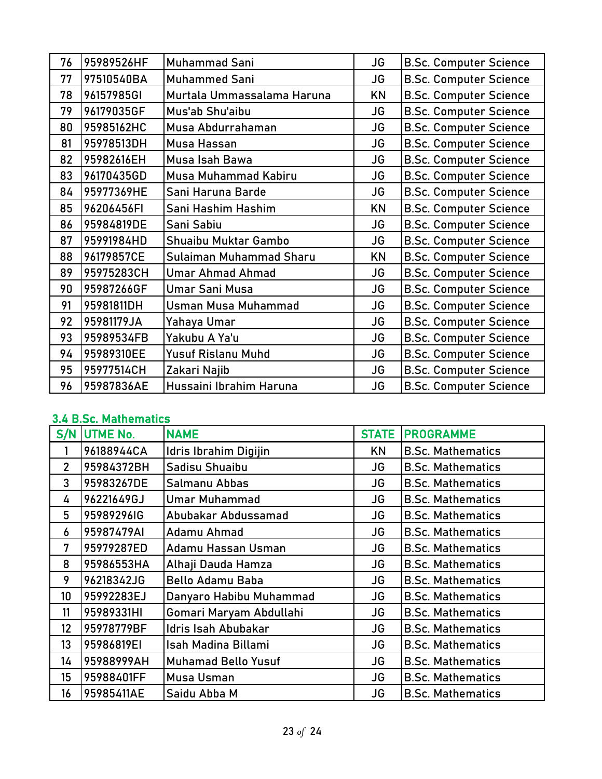| 76 | 95989526HF | Muhammad Sani              | <b>JG</b> | <b>B.Sc. Computer Science</b> |
|----|------------|----------------------------|-----------|-------------------------------|
| 77 | 97510540BA | <b>Muhammed Sani</b>       | <b>JG</b> | <b>B.Sc. Computer Science</b> |
| 78 | 96157985GI | Murtala Ummassalama Haruna | KN        | <b>B.Sc. Computer Science</b> |
| 79 | 96179035GF | Mus'ab Shu'aibu            | JG        | <b>B.Sc. Computer Science</b> |
| 80 | 95985162HC | Musa Abdurrahaman          | JG        | <b>B.Sc. Computer Science</b> |
| 81 | 95978513DH | Musa Hassan                | <b>JG</b> | <b>B.Sc. Computer Science</b> |
| 82 | 95982616EH | Musa Isah Bawa             | <b>JG</b> | <b>B.Sc. Computer Science</b> |
| 83 | 96170435GD | Musa Muhammad Kabiru       | <b>JG</b> | <b>B.Sc. Computer Science</b> |
| 84 | 95977369HE | Sani Haruna Barde          | JG        | <b>B.Sc. Computer Science</b> |
| 85 | 96206456FI | Sani Hashim Hashim         | KN        | <b>B.Sc. Computer Science</b> |
| 86 | 95984819DE | Sani Sabiu                 | <b>JG</b> | <b>B.Sc. Computer Science</b> |
| 87 | 95991984HD | Shuaibu Muktar Gambo       | JG        | <b>B.Sc. Computer Science</b> |
| 88 | 96179857CE | Sulaiman Muhammad Sharu    | KN        | <b>B.Sc. Computer Science</b> |
| 89 | 95975283CH | Umar Ahmad Ahmad           | JG        | <b>B.Sc. Computer Science</b> |
| 90 | 95987266GF | Umar Sani Musa             | JG        | <b>B.Sc. Computer Science</b> |
| 91 | 95981811DH | <b>Usman Musa Muhammad</b> | JG        | <b>B.Sc. Computer Science</b> |
| 92 | 95981179JA | Yahaya Umar                | JG        | <b>B.Sc. Computer Science</b> |
| 93 | 95989534FB | Yakubu A Ya'u              | JG        | <b>B.Sc. Computer Science</b> |
| 94 | 95989310EE | <b>Yusuf Rislanu Muhd</b>  | <b>JG</b> | <b>B.Sc. Computer Science</b> |
| 95 | 95977514CH | Zakari Najib               | JG        | <b>B.Sc. Computer Science</b> |
| 96 | 95987836AE | Hussaini Ibrahim Haruna    | <b>JG</b> | <b>B.Sc. Computer Science</b> |

### 3.4 B.Sc. Mathematics

| S/N             | <b>UTME No.</b> | <b>NAME</b>                | <b>STATE</b> | <b>PROGRAMME</b>         |
|-----------------|-----------------|----------------------------|--------------|--------------------------|
|                 | 96188944CA      | Idris Ibrahim Digijin      | ΚN           | <b>B.Sc. Mathematics</b> |
| $\overline{2}$  | 95984372BH      | Sadisu Shuaibu             | JG           | <b>B.Sc. Mathematics</b> |
| 3               | 95983267DE      | Salmanu Abbas              | JG           | <b>B.Sc. Mathematics</b> |
| 4               | 96221649GJ      | <b>Umar Muhammad</b>       | JG           | <b>B.Sc. Mathematics</b> |
| 5               | 95989296IG      | Abubakar Abdussamad        | JG           | <b>B.Sc. Mathematics</b> |
| 6               | 95987479AI      | Adamu Ahmad                | JG           | <b>B.Sc. Mathematics</b> |
| 7               | 95979287ED      | Adamu Hassan Usman         | <b>JG</b>    | <b>B.Sc. Mathematics</b> |
| 8               | 95986553HA      | Alhaji Dauda Hamza         | JG           | <b>B.Sc. Mathematics</b> |
| 9               | 96218342JG      | <b>Bello Adamu Baba</b>    | JG           | <b>B.Sc. Mathematics</b> |
| 10 <sup>°</sup> | 95992283EJ      | Danyaro Habibu Muhammad    | JG           | <b>B.Sc. Mathematics</b> |
| 11              | 95989331HI      | Gomari Maryam Abdullahi    | JG           | <b>B.Sc. Mathematics</b> |
| 12              | 95978779BF      | Idris Isah Abubakar        | JG           | <b>B.Sc. Mathematics</b> |
| 13              | 95986819EI      | Isah Madina Billami        | JG           | <b>B.Sc. Mathematics</b> |
| 14              | 95988999AH      | <b>Muhamad Bello Yusuf</b> | JG           | <b>B.Sc. Mathematics</b> |
| 15              | 95988401FF      | Musa Usman                 | <b>JG</b>    | <b>B.Sc. Mathematics</b> |
| 16              | 95985411AE      | Saidu Abba M               | JG           | <b>B.Sc. Mathematics</b> |